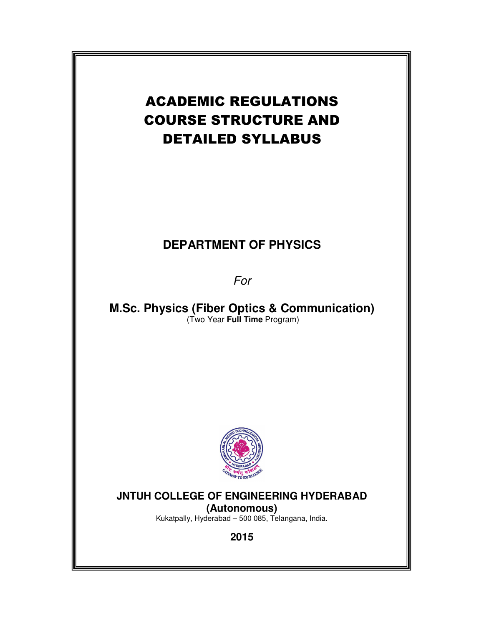# ACADEMIC REGULATIONS COURSE STRUCTURE AND DETAILED SYLLABUS

# **DEPARTMENT OF PHYSICS**

For

**M.Sc. Physics (Fiber Optics & Communication)**  (Two Year **Full Time** Program)



## **JNTUH COLLEGE OF ENGINEERING HYDERABAD**

**(Autonomous)** Kukatpally, Hyderabad – 500 085, Telangana, India.

**2015**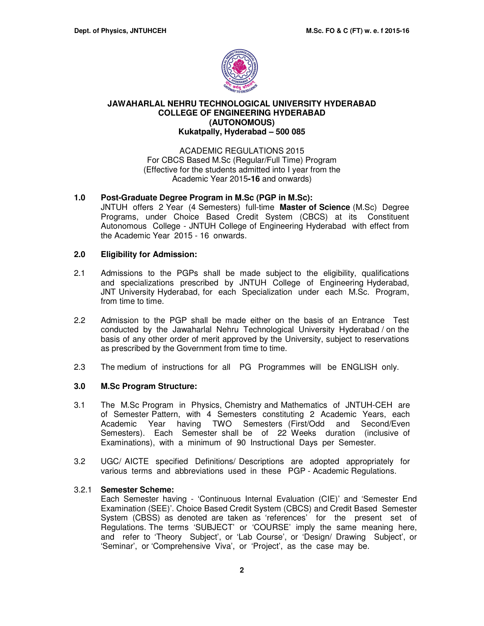

### **JAWAHARLAL NEHRU TECHNOLOGICAL UNIVERSITY HYDERABAD COLLEGE OF ENGINEERING HYDERABAD (AUTONOMOUS) Kukatpally, Hyderabad – 500 085**

### ACADEMIC REGULATIONS 2015 For CBCS Based M.Sc (Regular/Full Time) Program (Effective for the students admitted into I year from the Academic Year 2015**-16** and onwards)

### **1.0 Post-Graduate Degree Program in M.Sc (PGP in M.Sc):**

JNTUH offers 2 Year (4 Semesters) full-time **Master of Science** (M.Sc) Degree Programs, under Choice Based Credit System (CBCS) at its Constituent Autonomous College - JNTUH College of Engineering Hyderabad with effect from the Academic Year 2015 - 16 onwards.

### **2.0 Eligibility for Admission:**

- 2.1 Admissions to the PGPs shall be made subject to the eligibility, qualifications and specializations prescribed by JNTUH College of Engineering Hyderabad, JNT University Hyderabad, for each Specialization under each M.Sc. Program, from time to time.
- 2.2 Admission to the PGP shall be made either on the basis of an Entrance Test conducted by the Jawaharlal Nehru Technological University Hyderabad / on the basis of any other order of merit approved by the University, subject to reservations as prescribed by the Government from time to time.
- 2.3 The medium of instructions for all PG Programmes will be ENGLISH only.

### **3.0 M.Sc Program Structure:**

- 3.1 The M.Sc Program in Physics, Chemistry and Mathematics of JNTUH-CEH are of Semester Pattern, with 4 Semesters constituting 2 Academic Years, each Academic Year having TWO Semesters (First/Odd and Second/Even Semesters). Each Semester shall be of 22 Weeks duration (inclusive of Examinations), with a minimum of 90 Instructional Days per Semester.
- 3.2 UGC/ AICTE specified Definitions/ Descriptions are adopted appropriately for various terms and abbreviations used in these PGP - Academic Regulations.

### 3.2.1 **Semester Scheme:**

Each Semester having - 'Continuous Internal Evaluation (CIE)' and 'Semester End Examination (SEE)'. Choice Based Credit System (CBCS) and Credit Based Semester System (CBSS) as denoted are taken as 'references' for the present set of Regulations. The terms 'SUBJECT' or 'COURSE' imply the same meaning here, and refer to 'Theory Subject', or 'Lab Course', or 'Design/ Drawing Subject', or 'Seminar', or 'Comprehensive Viva', or 'Project', as the case may be.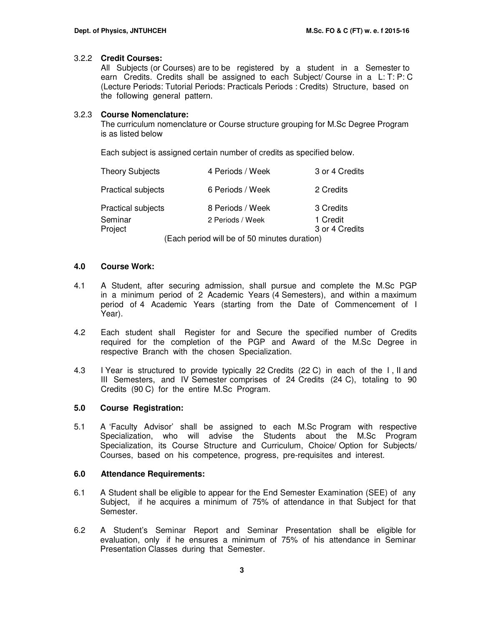### 3.2.2 **Credit Courses:**

All Subjects (or Courses) are to be registered by a student in a Semester to earn Credits. Credits shall be assigned to each Subject/ Course in a L: T: P: C (Lecture Periods: Tutorial Periods: Practicals Periods : Credits) Structure, based on the following general pattern.

### 3.2.3 **Course Nomenclature:**

The curriculum nomenclature or Course structure grouping for M.Sc Degree Program is as listed below

Each subject is assigned certain number of credits as specified below.

| <b>Theory Subjects</b>    | 4 Periods / Week | 3 or 4 Credits |
|---------------------------|------------------|----------------|
| <b>Practical subjects</b> | 6 Periods / Week | 2 Credits      |
| <b>Practical subjects</b> | 8 Periods / Week | 3 Credits      |
| Seminar                   | 2 Periods / Week | 1 Credit       |
| Project                   |                  | 3 or 4 Credits |
|                           |                  |                |

(Each period will be of 50 minutes duration)

### **4.0 Course Work:**

- 4.1 A Student, after securing admission, shall pursue and complete the M.Sc PGP in a minimum period of 2 Academic Years (4 Semesters), and within a maximum period of 4 Academic Years (starting from the Date of Commencement of I Year).
- 4.2 Each student shall Register for and Secure the specified number of Credits required for the completion of the PGP and Award of the M.Sc Degree in respective Branch with the chosen Specialization.
- 4.3 I Year is structured to provide typically 22 Credits (22 C) in each of the I , II and III Semesters, and IV Semester comprises of 24 Credits (24 C), totaling to 90 Credits (90 C) for the entire M.Sc Program.

### **5.0 Course Registration:**

5.1 A 'Faculty Advisor' shall be assigned to each M.Sc Program with respective Specialization, who will advise the Students about the M.Sc Program Specialization, its Course Structure and Curriculum, Choice/ Option for Subjects/ Courses, based on his competence, progress, pre-requisites and interest.

#### **6.0 Attendance Requirements:**

- 6.1 A Student shall be eligible to appear for the End Semester Examination (SEE) of any Subject, if he acquires a minimum of 75% of attendance in that Subject for that Semester.
- 6.2 A Student's Seminar Report and Seminar Presentation shall be eligible for evaluation, only if he ensures a minimum of 75% of his attendance in Seminar Presentation Classes during that Semester.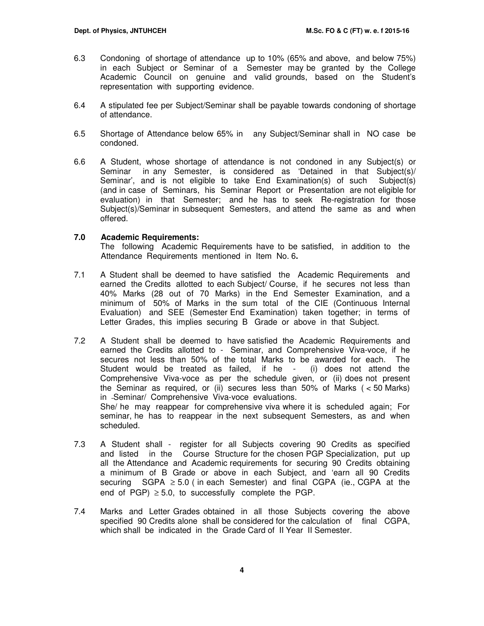- 6.3 Condoning of shortage of attendance up to 10% (65% and above, and below 75%) in each Subject or Seminar of a Semester may be granted by the College Academic Council on genuine and valid grounds, based on the Student's representation with supporting evidence.
- 6.4 A stipulated fee per Subject/Seminar shall be payable towards condoning of shortage of attendance.
- 6.5 Shortage of Attendance below 65% in any Subject/Seminar shall in NO case be condoned.
- 6.6 A Student, whose shortage of attendance is not condoned in any Subject(s) or Seminar in any Semester, is considered as 'Detained in that Subject(s)/ Seminar', and is not eligible to take End Examination(s) of such Subject(s) (and in case of Seminars, his Seminar Report or Presentation are not eligible for evaluation) in that Semester; and he has to seek Re-registration for those Subject(s)/Seminar in subsequent Semesters, and attend the same as and when offered.

### **7.0 Academic Requirements:**

The following Academic Requirements have to be satisfied, in addition to the Attendance Requirements mentioned in Item No. 6**.** 

- 7.1 A Student shall be deemed to have satisfied the Academic Requirements and earned the Credits allotted to each Subject/ Course, if he secures not less than 40% Marks (28 out of 70 Marks) in the End Semester Examination, and a minimum of 50% of Marks in the sum total of the CIE (Continuous Internal Evaluation) and SEE (Semester End Examination) taken together; in terms of Letter Grades, this implies securing B Grade or above in that Subject.
- 7.2A Student shall be deemed to have satisfied the Academic Requirements and earned the Credits allotted to - Seminar, and Comprehensive Viva-voce, if he secures not less than 50% of the total Marks to be awarded for each. The Student would be treated as failed, if he - (i) does not attend the Comprehensive Viva-voce as per the schedule given, or (ii) does not present the Seminar as required, or (ii) secures less than 50% of Marks ( < 50 Marks) in Seminar/ Comprehensive Viva-voce evaluations. She/ he may reappear for comprehensive viva where it is scheduled again; For seminar, he has to reappear in the next subsequent Semesters, as and when scheduled.
- 7.3 A Student shall register for all Subjects covering 90 Credits as specified and listed in the Course Structure for the chosen PGP Specialization, put up all the Attendance and Academic requirements for securing 90 Credits obtaining a minimum of B Grade or above in each Subject, and 'earn all 90 Credits securing SGPA ≥ 5.0 (in each Semester) and final CGPA (ie., CGPA at the end of PGP)  $\geq$  5.0, to successfully complete the PGP.
- 7.4 Marks and Letter Grades obtained in all those Subjects covering the above specified 90 Credits alone shall be considered for the calculation of final CGPA, which shall be indicated in the Grade Card of II Year II Semester.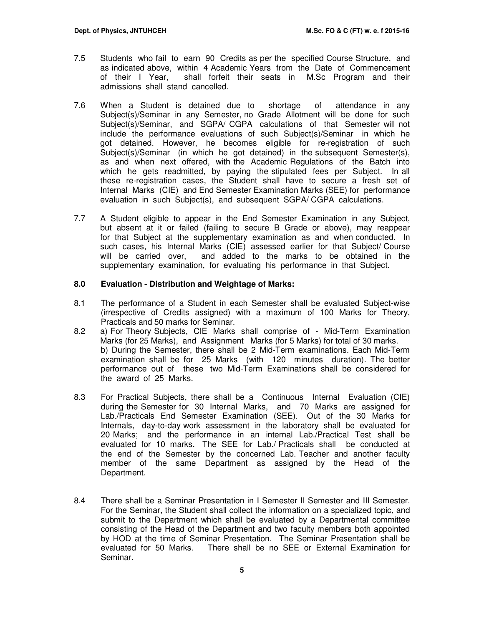- 7.5 Students who fail to earn 90 Credits as per the specified Course Structure, and as indicated above, within 4 Academic Years from the Date of Commencement of their I Year, shall forfeit their seats in M.Sc Program and their admissions shall stand cancelled.
- 7.6 When a Student is detained due to shortage of attendance in any Subject(s)/Seminar in any Semester, no Grade Allotment will be done for such Subject(s)/Seminar, and SGPA/ CGPA calculations of that Semester will not include the performance evaluations of such Subject(s)/Seminar in which he got detained. However, he becomes eligible for re-registration of such Subject(s)/Seminar (in which he got detained) in the subsequent Semester(s), as and when next offered, with the Academic Regulations of the Batch into which he gets readmitted, by paying the stipulated fees per Subject. In all these re-registration cases, the Student shall have to secure a fresh set of Internal Marks (CIE) and End Semester Examination Marks (SEE) for performance evaluation in such Subject(s), and subsequent SGPA/ CGPA calculations.
- 7.7 A Student eligible to appear in the End Semester Examination in any Subject, but absent at it or failed (failing to secure B Grade or above), may reappear for that Subject at the supplementary examination as and when conducted. In such cases, his Internal Marks (CIE) assessed earlier for that Subject/ Course will be carried over, and added to the marks to be obtained in the supplementary examination, for evaluating his performance in that Subject.

### **8.0 Evaluation - Distribution and Weightage of Marks:**

- 8.1 The performance of a Student in each Semester shall be evaluated Subject-wise (irrespective of Credits assigned) with a maximum of 100 Marks for Theory, Practicals and 50 marks for Seminar.
- 8.2 a) For Theory Subjects, CIE Marks shall comprise of Mid-Term Examination Marks (for 25 Marks), and Assignment Marks (for 5 Marks) for total of 30 marks. b) During the Semester, there shall be 2 Mid-Term examinations. Each Mid-Term examination shall be for 25 Marks (with 120 minutes duration). The better performance out of these two Mid-Term Examinations shall be considered for the award of 25 Marks.
- 8.3 For Practical Subjects, there shall be a Continuous Internal Evaluation (CIE) during the Semester for 30 Internal Marks, and 70 Marks are assigned for Lab./Practicals End Semester Examination (SEE). Out of the 30 Marks for Internals, day-to-day work assessment in the laboratory shall be evaluated for 20 Marks; and the performance in an internal Lab./Practical Test shall be evaluated for 10 marks. The SEE for Lab./ Practicals shall be conducted at the end of the Semester by the concerned Lab. Teacher and another faculty member of the same Department as assigned by the Head of the Department.
- 8.4 There shall be a Seminar Presentation in I Semester II Semester and III Semester. For the Seminar, the Student shall collect the information on a specialized topic, and submit to the Department which shall be evaluated by a Departmental committee consisting of the Head of the Department and two faculty members both appointed by HOD at the time of Seminar Presentation. The Seminar Presentation shall be evaluated for 50 Marks. There shall be no SEE or External Examination for There shall be no SEE or External Examination for Seminar.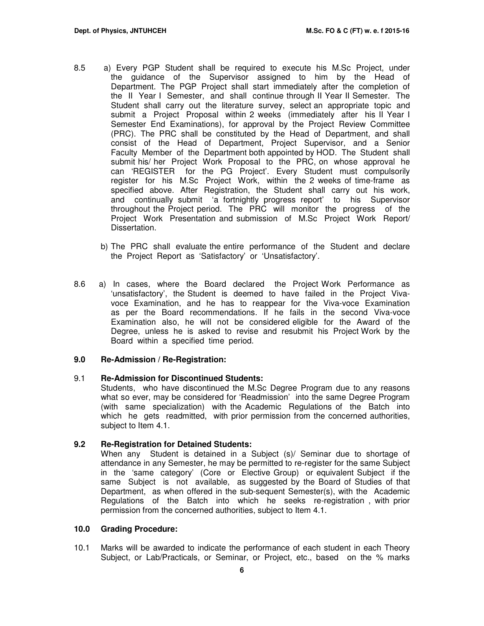- 8.5 a) Every PGP Student shall be required to execute his M.Sc Project, under the guidance of the Supervisor assigned to him by the Head of Department. The PGP Project shall start immediately after the completion of the II Year I Semester, and shall continue through II Year II Semester. The Student shall carry out the literature survey, select an appropriate topic and submit a Project Proposal within 2 weeks (immediately after his II Year I Semester End Examinations), for approval by the Project Review Committee (PRC). The PRC shall be constituted by the Head of Department, and shall consist of the Head of Department, Project Supervisor, and a Senior Faculty Member of the Department both appointed by HOD. The Student shall submit his/ her Project Work Proposal to the PRC, on whose approval he can 'REGISTER for the PG Project'. Every Student must compulsorily register for his M.Sc Project Work, within the 2 weeks of time-frame as specified above. After Registration, the Student shall carry out his work, and continually submit 'a fortnightly progress report' to his Supervisor throughout the Project period. The PRC will monitor the progress of the Project Work Presentation and submission of M.Sc Project Work Report/ Dissertation.
	- b) The PRC shall evaluate the entire performance of the Student and declare the Project Report as 'Satisfactory' or 'Unsatisfactory'.
- 8.6 a) In cases, where the Board declared the Project Work Performance as 'unsatisfactory', the Student is deemed to have failed in the Project Vivavoce Examination, and he has to reappear for the Viva-voce Examination as per the Board recommendations. If he fails in the second Viva-voce Examination also, he will not be considered eligible for the Award of the Degree, unless he is asked to revise and resubmit his Project Work by the Board within a specified time period.

#### **9.0 Re-Admission / Re-Registration:**

### 9.1 **Re-Admission for Discontinued Students:**

Students, who have discontinued the M.Sc Degree Program due to any reasons what so ever, may be considered for 'Readmission' into the same Degree Program (with same specialization) with the Academic Regulations of the Batch into which he gets readmitted, with prior permission from the concerned authorities, subject to Item 4.1.

### **9.2 Re-Registration for Detained Students:**

When any Student is detained in a Subject (s)/ Seminar due to shortage of attendance in any Semester, he may be permitted to re-register for the same Subject in the 'same category' (Core or Elective Group) or equivalent Subject if the same Subject is not available, as suggested by the Board of Studies of that Department, as when offered in the sub-sequent Semester(s), with the Academic Regulations of the Batch into which he seeks re-registration , with prior permission from the concerned authorities, subject to Item 4.1.

#### **10.0 Grading Procedure:**

10.1 Marks will be awarded to indicate the performance of each student in each Theory Subject, or Lab/Practicals, or Seminar, or Project, etc., based on the % marks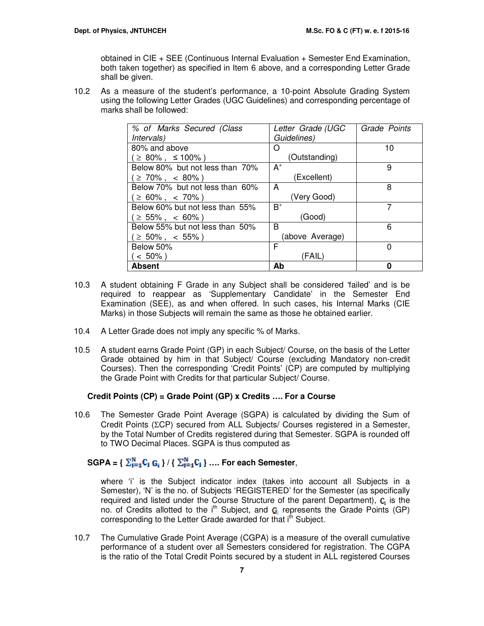obtained in CIE + SEE (Continuous Internal Evaluation + Semester End Examination, both taken together) as specified in Item 6 above, and a corresponding Letter Grade shall be given.

10.2 As a measure of the student's performance, a 10-point Absolute Grading System using the following Letter Grades (UGC Guidelines) and corresponding percentage of marks shall be followed:

| % of Marks Secured (Class       | Letter Grade (UGC | Grade Points |
|---------------------------------|-------------------|--------------|
| <i>Intervals</i> )              | Guidelines)       |              |
| 80% and above                   | ( )               | 10           |
| ( ≥ 80% , ≤ 100% )              | (Outstanding)     |              |
| Below 80% but not less than 70% | $A^+$             | 9            |
| $( \geq 70\% , \leq 80\%)$      | (Excellent)       |              |
| Below 70% but not less than 60% | A                 | 8            |
| $( \geq 60\% , \leq 70\%)$      | (Very Good)       |              |
| Below 60% but not less than 55% | $R^+$             | 7            |
| $( \geq 55\% , \leq 60\%)$      | (Good)            |              |
| Below 55% but not less than 50% | B                 | 6            |
| (≥ 50%, < 55%)                  | (above Average)   |              |
| Below 50%                       | F                 | 0            |
| (< 50%)                         | (FAIL)            |              |
| <b>Absent</b>                   | Ab                | Π            |

- 10.3 A student obtaining F Grade in any Subject shall be considered 'failed' and is be required to reappear as 'Supplementary Candidate' in the Semester End Examination (SEE), as and when offered. In such cases, his Internal Marks (CIE Marks) in those Subjects will remain the same as those he obtained earlier.
- 10.4 A Letter Grade does not imply any specific % of Marks.
- 10.5 A student earns Grade Point (GP) in each Subject/ Course, on the basis of the Letter Grade obtained by him in that Subject/ Course (excluding Mandatory non-credit Courses). Then the corresponding 'Credit Points' (CP) are computed by multiplying the Grade Point with Credits for that particular Subject/ Course.

### **Credit Points (CP) = Grade Point (GP) x Credits …. For a Course**

10.6 The Semester Grade Point Average (SGPA) is calculated by dividing the Sum of Credit Points (ΣCP) secured from ALL Subjects/ Courses registered in a Semester, by the Total Number of Credits registered during that Semester. SGPA is rounded off to TWO Decimal Places. SGPA is thus computed as

## **SGPA** = {  $\sum_{i=1}^{N} C_i$   $G_i$  } / {  $\sum_{i=1}^{N} C_i$  } .... For each Semester,

where 'i' is the Subject indicator index (takes into account all Subjects in a Semester), 'N' is the no. of Subjects 'REGISTERED' for the Semester (as specifically required and listed under the Course Structure of the parent Department),  $\mathbf{C}_i$  is the no. of Credits allotted to the i<sup>th</sup> Subject, and  $G_1$  represents the Grade Points (GP) corresponding to the Letter Grade awarded for that i<sup>th</sup> Subject.

10.7 The Cumulative Grade Point Average (CGPA) is a measure of the overall cumulative performance of a student over all Semesters considered for registration. The CGPA is the ratio of the Total Credit Points secured by a student in ALL registered Courses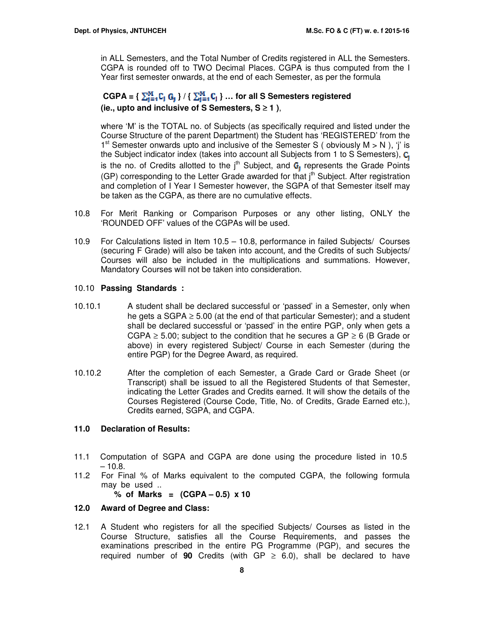in ALL Semesters, and the Total Number of Credits registered in ALL the Semesters. CGPA is rounded off to TWO Decimal Places. CGPA is thus computed from the I Year first semester onwards, at the end of each Semester, as per the formula

### $CGPA = \{ \sum_{i=1}^{M} C_i \ G_i \} / \{ \sum_{i=1}^{M} C_i \} ...$  for all S Semesters registered **(ie., upto and inclusive of S Semesters, S** ≥ **1 )**,

where 'M' is the TOTAL no. of Subjects (as specifically required and listed under the Course Structure of the parent Department) the Student has 'REGISTERED' from the 1<sup>st</sup> Semester onwards upto and inclusive of the Semester S (obviously  $M > N$ ), 'j' is the Subject indicator index (takes into account all Subjects from 1 to S Semesters),  $C_1$ is the no. of Credits allotted to the  $j<sup>th</sup>$  Subject, and  $G_i$  represents the Grade Points (GP) corresponding to the Letter Grade awarded for that j<sup>th</sup> Subject. After registration and completion of I Year I Semester however, the SGPA of that Semester itself may be taken as the CGPA, as there are no cumulative effects.

- 10.8 For Merit Ranking or Comparison Purposes or any other listing, ONLY the 'ROUNDED OFF' values of the CGPAs will be used.
- 10.9 For Calculations listed in Item 10.5 10.8, performance in failed Subjects/ Courses (securing F Grade) will also be taken into account, and the Credits of such Subjects/ Courses will also be included in the multiplications and summations. However, Mandatory Courses will not be taken into consideration.

### 10.10 **Passing Standards :**

- 10.10.1 A student shall be declared successful or 'passed' in a Semester, only when he gets a SGPA  $\geq$  5.00 (at the end of that particular Semester); and a student shall be declared successful or 'passed' in the entire PGP, only when gets a CGPA  $\geq$  5.00; subject to the condition that he secures a GP  $\geq$  6 (B Grade or above) in every registered Subject/ Course in each Semester (during the entire PGP) for the Degree Award, as required.
- 10.10.2 After the completion of each Semester, a Grade Card or Grade Sheet (or Transcript) shall be issued to all the Registered Students of that Semester, indicating the Letter Grades and Credits earned. It will show the details of the Courses Registered (Course Code, Title, No. of Credits, Grade Earned etc.), Credits earned, SGPA, and CGPA.

### **11.0 Declaration of Results:**

- 11.1 Computation of SGPA and CGPA are done using the procedure listed in 10.5  $-10.8.$
- 11.2 For Final % of Marks equivalent to the computed CGPA, the following formula may be used ..

**% of Marks = (CGPA – 0.5) x 10** 

### **12.0 Award of Degree and Class:**

12.1 A Student who registers for all the specified Subjects/ Courses as listed in the Course Structure, satisfies all the Course Requirements, and passes the examinations prescribed in the entire PG Programme (PGP), and secures the required number of **90** Credits (with GP  $\geq$  6.0), shall be declared to have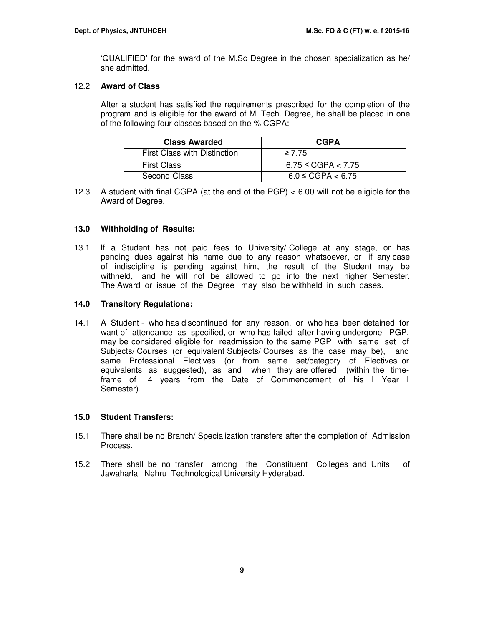'QUALIFIED' for the award of the M.Sc Degree in the chosen specialization as he/ she admitted.

### 12.2 **Award of Class**

After a student has satisfied the requirements prescribed for the completion of the program and is eligible for the award of M. Tech. Degree, he shall be placed in one of the following four classes based on the % CGPA:

| <b>Class Awarded</b>         | <b>CGPA</b>             |
|------------------------------|-------------------------|
| First Class with Distinction | $\geq 7.75$             |
| <b>First Class</b>           | $6.75 \leq CGPA < 7.75$ |
| Second Class                 | $6.0 \leq CGPA < 6.75$  |

12.3 A student with final CGPA (at the end of the PGP) < 6.00 will not be eligible for the Award of Degree.

### **13.0 Withholding of Results:**

13.1 If a Student has not paid fees to University/ College at any stage, or has pending dues against his name due to any reason whatsoever, or if any case of indiscipline is pending against him, the result of the Student may be withheld, and he will not be allowed to go into the next higher Semester. The Award or issue of the Degree may also be withheld in such cases.

### **14.0 Transitory Regulations:**

14.1 A Student - who has discontinued for any reason, or who has been detained for want of attendance as specified, or who has failed after having undergone PGP, may be considered eligible for readmission to the same PGP with same set of Subjects/ Courses (or equivalent Subjects/ Courses as the case may be), and same Professional Electives (or from same set/category of Electives or equivalents as suggested), as and when they are offered (within the timeframe of 4 years from the Date of Commencement of his I Year I Semester).

### **15.0 Student Transfers:**

- 15.1 There shall be no Branch/ Specialization transfers after the completion of Admission Process.
- 15.2 There shall be no transfer among the Constituent Colleges and Units of Jawaharlal Nehru Technological University Hyderabad.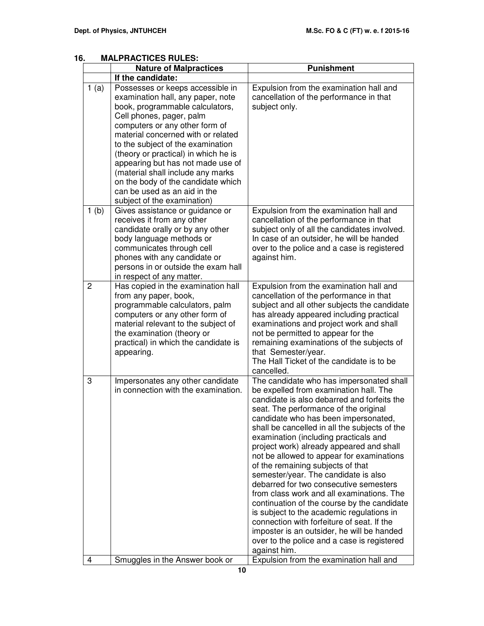|                | <b>Nature of Malpractices</b>                                                                                                                                                                                                                                                                                                                                                                                                                                            | <b>Punishment</b>                                                                                                                                                                                                                                                                                                                                                                                                                                                                                                                                                                                                                                                                                                                                                                                                                |
|----------------|--------------------------------------------------------------------------------------------------------------------------------------------------------------------------------------------------------------------------------------------------------------------------------------------------------------------------------------------------------------------------------------------------------------------------------------------------------------------------|----------------------------------------------------------------------------------------------------------------------------------------------------------------------------------------------------------------------------------------------------------------------------------------------------------------------------------------------------------------------------------------------------------------------------------------------------------------------------------------------------------------------------------------------------------------------------------------------------------------------------------------------------------------------------------------------------------------------------------------------------------------------------------------------------------------------------------|
|                | If the candidate:                                                                                                                                                                                                                                                                                                                                                                                                                                                        |                                                                                                                                                                                                                                                                                                                                                                                                                                                                                                                                                                                                                                                                                                                                                                                                                                  |
| 1(a)           | Possesses or keeps accessible in<br>examination hall, any paper, note<br>book, programmable calculators,<br>Cell phones, pager, palm<br>computers or any other form of<br>material concerned with or related<br>to the subject of the examination<br>(theory or practical) in which he is<br>appearing but has not made use of<br>(material shall include any marks<br>on the body of the candidate which<br>can be used as an aid in the<br>subject of the examination) | Expulsion from the examination hall and<br>cancellation of the performance in that<br>subject only.                                                                                                                                                                                                                                                                                                                                                                                                                                                                                                                                                                                                                                                                                                                              |
| 1(b)           | Gives assistance or guidance or<br>receives it from any other<br>candidate orally or by any other<br>body language methods or<br>communicates through cell<br>phones with any candidate or<br>persons in or outside the exam hall<br>in respect of any matter.                                                                                                                                                                                                           | Expulsion from the examination hall and<br>cancellation of the performance in that<br>subject only of all the candidates involved.<br>In case of an outsider, he will be handed<br>over to the police and a case is registered<br>against him.                                                                                                                                                                                                                                                                                                                                                                                                                                                                                                                                                                                   |
| $\overline{2}$ | Has copied in the examination hall<br>from any paper, book,<br>programmable calculators, palm<br>computers or any other form of<br>material relevant to the subject of<br>the examination (theory or<br>practical) in which the candidate is<br>appearing.                                                                                                                                                                                                               | Expulsion from the examination hall and<br>cancellation of the performance in that<br>subject and all other subjects the candidate<br>has already appeared including practical<br>examinations and project work and shall<br>not be permitted to appear for the<br>remaining examinations of the subjects of<br>that Semester/year.<br>The Hall Ticket of the candidate is to be<br>cancelled.                                                                                                                                                                                                                                                                                                                                                                                                                                   |
| 3              | Impersonates any other candidate<br>in connection with the examination.                                                                                                                                                                                                                                                                                                                                                                                                  | The candidate who has impersonated shall<br>be expelled from examination hall. The<br>candidate is also debarred and forfeits the<br>seat. The performance of the original<br>candidate who has been impersonated,<br>shall be cancelled in all the subjects of the<br>examination (including practicals and<br>project work) already appeared and shall<br>not be allowed to appear for examinations<br>of the remaining subjects of that<br>semester/year. The candidate is also<br>debarred for two consecutive semesters<br>from class work and all examinations. The<br>continuation of the course by the candidate<br>is subject to the academic regulations in<br>connection with forfeiture of seat. If the<br>imposter is an outsider, he will be handed<br>over to the police and a case is registered<br>against him. |
| 4              | Smuggles in the Answer book or                                                                                                                                                                                                                                                                                                                                                                                                                                           | Expulsion from the examination hall and                                                                                                                                                                                                                                                                                                                                                                                                                                                                                                                                                                                                                                                                                                                                                                                          |

### **16. MALPRACTICES RULES:**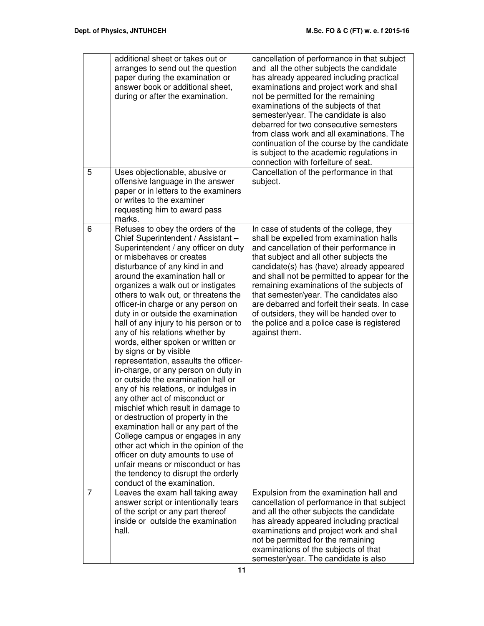|   | additional sheet or takes out or<br>arranges to send out the question<br>paper during the examination or<br>answer book or additional sheet,<br>during or after the examination.                                                                                                                                                                                                                                                                                                                                                                                                                                                                                                                                                                                                                                                                                                                                                                                                                                                                                      | cancellation of performance in that subject<br>and all the other subjects the candidate<br>has already appeared including practical<br>examinations and project work and shall<br>not be permitted for the remaining<br>examinations of the subjects of that<br>semester/year. The candidate is also<br>debarred for two consecutive semesters<br>from class work and all examinations. The<br>continuation of the course by the candidate<br>is subject to the academic regulations in<br>connection with forfeiture of seat. |
|---|-----------------------------------------------------------------------------------------------------------------------------------------------------------------------------------------------------------------------------------------------------------------------------------------------------------------------------------------------------------------------------------------------------------------------------------------------------------------------------------------------------------------------------------------------------------------------------------------------------------------------------------------------------------------------------------------------------------------------------------------------------------------------------------------------------------------------------------------------------------------------------------------------------------------------------------------------------------------------------------------------------------------------------------------------------------------------|--------------------------------------------------------------------------------------------------------------------------------------------------------------------------------------------------------------------------------------------------------------------------------------------------------------------------------------------------------------------------------------------------------------------------------------------------------------------------------------------------------------------------------|
| 5 | Uses objectionable, abusive or<br>offensive language in the answer<br>paper or in letters to the examiners<br>or writes to the examiner<br>requesting him to award pass<br>marks.                                                                                                                                                                                                                                                                                                                                                                                                                                                                                                                                                                                                                                                                                                                                                                                                                                                                                     | Cancellation of the performance in that<br>subject.                                                                                                                                                                                                                                                                                                                                                                                                                                                                            |
| 6 | Refuses to obey the orders of the<br>Chief Superintendent / Assistant -<br>Superintendent / any officer on duty<br>or misbehaves or creates<br>disturbance of any kind in and<br>around the examination hall or<br>organizes a walk out or instigates<br>others to walk out, or threatens the<br>officer-in charge or any person on<br>duty in or outside the examination<br>hall of any injury to his person or to<br>any of his relations whether by<br>words, either spoken or written or<br>by signs or by visible<br>representation, assaults the officer-<br>in-charge, or any person on duty in<br>or outside the examination hall or<br>any of his relations, or indulges in<br>any other act of misconduct or<br>mischief which result in damage to<br>or destruction of property in the<br>examination hall or any part of the<br>College campus or engages in any<br>other act which in the opinion of the<br>officer on duty amounts to use of<br>unfair means or misconduct or has<br>the tendency to disrupt the orderly<br>conduct of the examination. | In case of students of the college, they<br>shall be expelled from examination halls<br>and cancellation of their performance in<br>that subject and all other subjects the<br>candidate(s) has (have) already appeared<br>and shall not be permitted to appear for the<br>remaining examinations of the subjects of<br>that semester/year. The candidates also<br>are debarred and forfeit their seats. In case<br>of outsiders, they will be handed over to<br>the police and a police case is registered<br>against them.   |
| 7 | Leaves the exam hall taking away<br>answer script or intentionally tears<br>of the script or any part thereof<br>inside or outside the examination<br>hall.                                                                                                                                                                                                                                                                                                                                                                                                                                                                                                                                                                                                                                                                                                                                                                                                                                                                                                           | Expulsion from the examination hall and<br>cancellation of performance in that subject<br>and all the other subjects the candidate<br>has already appeared including practical<br>examinations and project work and shall<br>not be permitted for the remaining<br>examinations of the subjects of that<br>semester/year. The candidate is also                                                                                                                                                                                |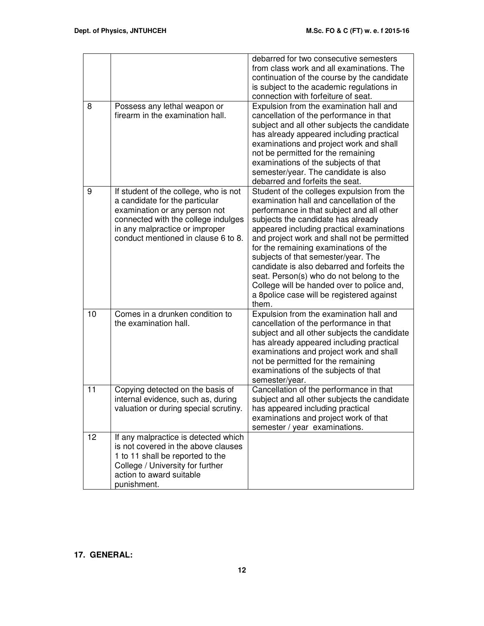|    |                                                                                                                                                                                                                          | debarred for two consecutive semesters<br>from class work and all examinations. The<br>continuation of the course by the candidate<br>is subject to the academic regulations in<br>connection with forfeiture of seat.                                                                                                                                                                                                                                                                                                                               |
|----|--------------------------------------------------------------------------------------------------------------------------------------------------------------------------------------------------------------------------|------------------------------------------------------------------------------------------------------------------------------------------------------------------------------------------------------------------------------------------------------------------------------------------------------------------------------------------------------------------------------------------------------------------------------------------------------------------------------------------------------------------------------------------------------|
| 8  | Possess any lethal weapon or<br>firearm in the examination hall.                                                                                                                                                         | Expulsion from the examination hall and<br>cancellation of the performance in that<br>subject and all other subjects the candidate<br>has already appeared including practical<br>examinations and project work and shall<br>not be permitted for the remaining<br>examinations of the subjects of that<br>semester/year. The candidate is also<br>debarred and forfeits the seat.                                                                                                                                                                   |
| 9  | If student of the college, who is not<br>a candidate for the particular<br>examination or any person not<br>connected with the college indulges<br>in any malpractice or improper<br>conduct mentioned in clause 6 to 8. | Student of the colleges expulsion from the<br>examination hall and cancellation of the<br>performance in that subject and all other<br>subjects the candidate has already<br>appeared including practical examinations<br>and project work and shall not be permitted<br>for the remaining examinations of the<br>subjects of that semester/year. The<br>candidate is also debarred and forfeits the<br>seat. Person(s) who do not belong to the<br>College will be handed over to police and,<br>a 8police case will be registered against<br>them. |
| 10 | Comes in a drunken condition to<br>the examination hall.                                                                                                                                                                 | Expulsion from the examination hall and<br>cancellation of the performance in that<br>subject and all other subjects the candidate<br>has already appeared including practical<br>examinations and project work and shall<br>not be permitted for the remaining<br>examinations of the subjects of that<br>semester/year.                                                                                                                                                                                                                            |
| 11 | Copying detected on the basis of<br>internal evidence, such as, during<br>valuation or during special scrutiny.                                                                                                          | Cancellation of the performance in that<br>subject and all other subjects the candidate<br>has appeared including practical<br>examinations and project work of that<br>semester / year examinations.                                                                                                                                                                                                                                                                                                                                                |
| 12 | If any malpractice is detected which<br>is not covered in the above clauses<br>1 to 11 shall be reported to the<br>College / University for further<br>action to award suitable<br>punishment.                           |                                                                                                                                                                                                                                                                                                                                                                                                                                                                                                                                                      |

### **17. GENERAL:**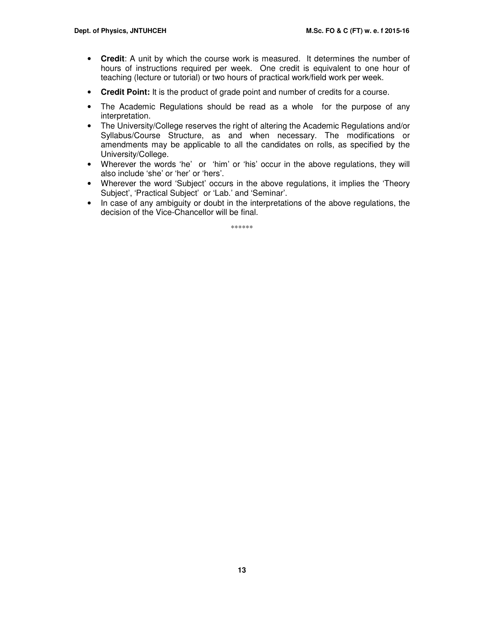- **Credit**: A unit by which the course work is measured. It determines the number of hours of instructions required per week. One credit is equivalent to one hour of teaching (lecture or tutorial) or two hours of practical work/field work per week.
- **Credit Point:** It is the product of grade point and number of credits for a course.
- The Academic Regulations should be read as a whole for the purpose of any interpretation.
- The University/College reserves the right of altering the Academic Regulations and/or Syllabus/Course Structure, as and when necessary. The modifications or amendments may be applicable to all the candidates on rolls, as specified by the University/College.
- Wherever the words 'he' or 'him' or 'his' occur in the above regulations, they will also include 'she' or 'her' or 'hers'.
- Wherever the word 'Subject' occurs in the above regulations, it implies the 'Theory' Subject', 'Practical Subject' or 'Lab.' and 'Seminar'.
- In case of any ambiguity or doubt in the interpretations of the above regulations, the decision of the Vice-Chancellor will be final.

\*\*\*\*\*\*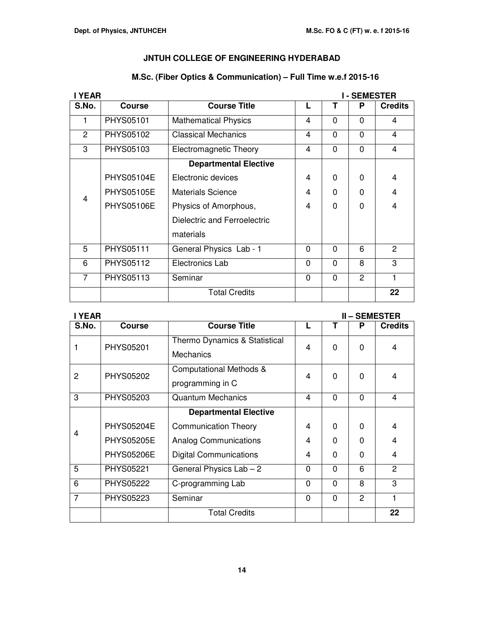### **M.Sc. (Fiber Optics & Communication) – Full Time w.e.f 2015-16**

|                | I YEAR<br><b>I-SEMESTER</b> |                              |              |             |          |                |
|----------------|-----------------------------|------------------------------|--------------|-------------|----------|----------------|
| S.No.          | <b>Course</b>               | <b>Course Title</b>          |              | Т           | P        | <b>Credits</b> |
|                | <b>PHYS05101</b>            | <b>Mathematical Physics</b>  | 4            | 0           | $\Omega$ | 4              |
| $\overline{2}$ | PHYS05102                   | <b>Classical Mechanics</b>   | 4            | $\mathbf 0$ | 0        | 4              |
| 3              | PHYS05103                   | Electromagnetic Theory       | 4            | $\mathbf 0$ | $\Omega$ | 4              |
|                |                             | <b>Departmental Elective</b> |              |             |          |                |
|                | <b>PHYS05104E</b>           | Electronic devices           | 4            | $\Omega$    | $\Omega$ | $\overline{4}$ |
| $\overline{4}$ | <b>PHYS05105E</b>           | Materials Science            | 4            | $\Omega$    | $\Omega$ | $\overline{4}$ |
|                | <b>PHYS05106E</b>           | Physics of Amorphous,        | 4            | $\Omega$    | $\Omega$ | $\overline{4}$ |
|                |                             | Dielectric and Ferroelectric |              |             |          |                |
|                |                             | materials                    |              |             |          |                |
| 5              | PHYS05111                   | General Physics Lab - 1      | $\Omega$     | $\mathbf 0$ | 6        | 2              |
| 6              | PHYS05112                   | Electronics Lab              | $\mathbf 0$  | $\mathbf 0$ | 8        | 3              |
| $\overline{7}$ | PHYS05113                   | Seminar                      | $\mathbf{0}$ | $\Omega$    | 2        | 1              |
|                |                             | <b>Total Credits</b>         |              |             |          | 22             |

| <b>YEAR</b><br><b>II-SEMESTER</b> |                   |                                                        |          |          |                |                |
|-----------------------------------|-------------------|--------------------------------------------------------|----------|----------|----------------|----------------|
| S.No.                             | <b>Course</b>     | <b>Course Title</b>                                    |          | T        | P              | <b>Credits</b> |
|                                   | PHYS05201         | Thermo Dynamics & Statistical<br><b>Mechanics</b>      | 4        | $\Omega$ | $\Omega$       | 4              |
| 2                                 | PHYS05202         | <b>Computational Methods &amp;</b><br>programming in C | 4        | $\Omega$ | $\Omega$       | 4              |
| 3                                 | PHYS05203         | <b>Quantum Mechanics</b>                               | 4        | $\Omega$ | $\Omega$       | $\overline{4}$ |
| <b>Departmental Elective</b>      |                   |                                                        |          |          |                |                |
| 4                                 | <b>PHYS05204E</b> | <b>Communication Theory</b>                            | 4        | $\Omega$ | $\Omega$       | 4              |
|                                   | <b>PHYS05205E</b> | <b>Analog Communications</b>                           | 4        | $\Omega$ | $\Omega$       | 4              |
|                                   | <b>PHYS05206E</b> | <b>Digital Communications</b>                          | 4        | $\Omega$ | $\Omega$       | 4              |
| 5                                 | PHYS05221         | General Physics Lab - 2                                | $\Omega$ | $\Omega$ | 6              | $\overline{2}$ |
| 6                                 | <b>PHYS05222</b>  | C-programming Lab                                      | $\Omega$ | $\Omega$ | 8              | 3              |
| $\overline{7}$                    | PHYS05223         | Seminar                                                | $\Omega$ | $\Omega$ | $\overline{2}$ | 1              |
|                                   |                   | <b>Total Credits</b>                                   |          |          |                | 22             |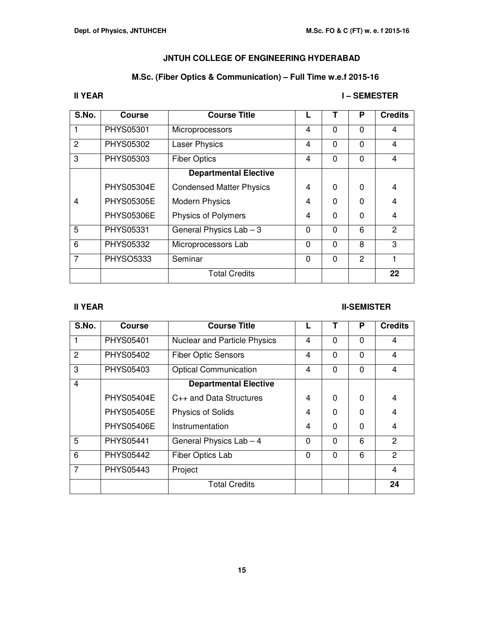### **M.Sc. (Fiber Optics & Communication) – Full Time w.e.f 2015-16**

### **II YEAR I – SEMESTER**

| S.No.          | <b>Course</b>     | <b>Course Title</b>             |          |              | P             | <b>Credits</b> |
|----------------|-------------------|---------------------------------|----------|--------------|---------------|----------------|
|                | PHYS05301         | Microprocessors                 | 4        | $\mathbf{0}$ | 0             | 4              |
| 2              | PHYS05302         | <b>Laser Physics</b>            | 4        | $\Omega$     | 0             | 4              |
| 3              | PHYS05303         | <b>Fiber Optics</b>             | 4        | $\mathbf{0}$ | 0             | 4              |
|                |                   | <b>Departmental Elective</b>    |          |              |               |                |
|                | <b>PHYS05304E</b> | <b>Condensed Matter Physics</b> | 4        | $\Omega$     | 0             | 4              |
| 4              | <b>PHYS05305E</b> | <b>Modern Physics</b>           | 4        | $\Omega$     | 0             | 4              |
|                | <b>PHYS05306E</b> | Physics of Polymers             | 4        | $\Omega$     | 0             | 4              |
| 5              | PHYS05331         | General Physics $Lab - 3$       | 0        | $\Omega$     | 6             | $\overline{c}$ |
| 6              | PHYS05332         | Microprocessors Lab             | $\Omega$ | $\Omega$     | 8             | 3              |
| $\overline{7}$ | <b>PHYSO5333</b>  | Seminar                         | $\Omega$ | $\Omega$     | $\mathcal{P}$ |                |
|                |                   | <b>Total Credits</b>            |          |              |               | 22             |

### **II YEAR III-SEMISTER**

| S.No. | <b>Course</b>     | <b>Course Title</b>                 |                | Т        | P        | <b>Credits</b>          |
|-------|-------------------|-------------------------------------|----------------|----------|----------|-------------------------|
|       | PHYS05401         | <b>Nuclear and Particle Physics</b> | $\overline{4}$ | $\Omega$ | $\Omega$ | 4                       |
| 2     | PHYS05402         | <b>Fiber Optic Sensors</b>          | $\overline{4}$ | $\Omega$ | $\Omega$ | $\overline{4}$          |
| 3     | PHYS05403         | <b>Optical Communication</b>        | 4              | $\Omega$ | $\Omega$ | $\overline{\mathbf{4}}$ |
| 4     |                   | <b>Departmental Elective</b>        |                |          |          |                         |
|       | <b>PHYS05404E</b> | C <sub>++</sub> and Data Structures | 4              | $\Omega$ | $\Omega$ | $\overline{4}$          |
|       | <b>PHYS05405E</b> | <b>Physics of Solids</b>            | 4              | 0        | $\Omega$ | 4                       |
|       | <b>PHYS05406E</b> | Instrumentation                     | 4              | $\Omega$ | 0        | 4                       |
| 5     | PHYS05441         | General Physics Lab - 4             | $\Omega$       | $\Omega$ | 6        | 2                       |
| 6     | <b>PHYS05442</b>  | Fiber Optics Lab                    | $\mathbf 0$    | $\Omega$ | 6        | $\overline{2}$          |
| 7     | PHYS05443         | Project                             |                |          |          | $\overline{4}$          |
|       |                   | <b>Total Credits</b>                |                |          |          | 24                      |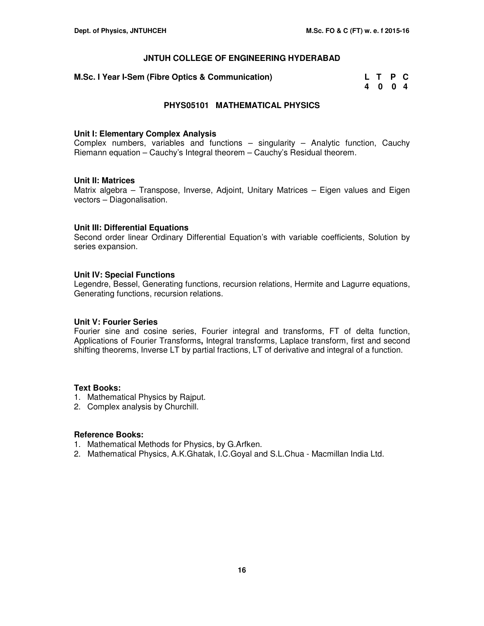**M.Sc. I Year I-Sem (Fibre Optics & Communication)** 

| M.Sc. I Year I-Sem (Fibre Optics & Communication) | L T P C |  |  |
|---------------------------------------------------|---------|--|--|
|                                                   | 4004    |  |  |

### **PHYS05101 MATHEMATICAL PHYSICS**

#### **Unit I: Elementary Complex Analysis**

Complex numbers, variables and functions – singularity – Analytic function, Cauchy Riemann equation – Cauchy's Integral theorem – Cauchy's Residual theorem.

### **Unit II: Matrices**

Matrix algebra – Transpose, Inverse, Adjoint, Unitary Matrices – Eigen values and Eigen vectors – Diagonalisation.

### **Unit III: Differential Equations**

Second order linear Ordinary Differential Equation's with variable coefficients, Solution by series expansion.

### **Unit IV: Special Functions**

Legendre, Bessel, Generating functions, recursion relations, Hermite and Lagurre equations, Generating functions, recursion relations.

### **Unit V: Fourier Series**

Fourier sine and cosine series, Fourier integral and transforms, FT of delta function, Applications of Fourier Transforms**,** Integral transforms, Laplace transform, first and second shifting theorems, Inverse LT by partial fractions, LT of derivative and integral of a function.

### **Text Books:**

- 1. Mathematical Physics by Rajput.
- 2. Complex analysis by Churchill.

- 1. Mathematical Methods for Physics, by G.Arfken.
- 2. Mathematical Physics, A.K.Ghatak, I.C.Goyal and S.L.Chua Macmillan India Ltd.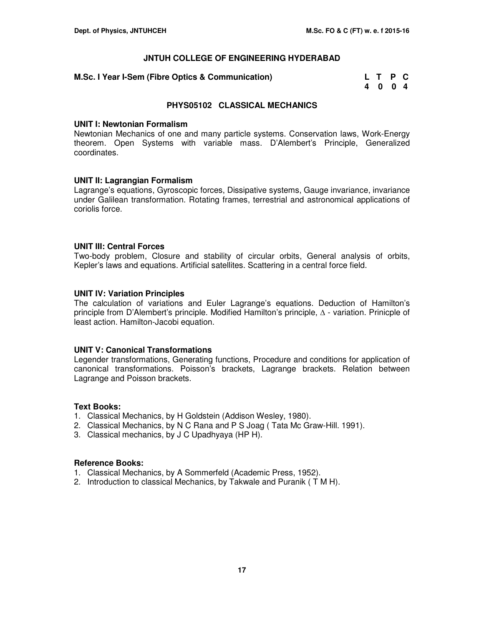### **M.Sc. I Year I-Sem (Fibre Optics & Communication)**

| M.Sc. I Year I-Sem (Fibre Optics & Communication) | L T P C |  |  |
|---------------------------------------------------|---------|--|--|
|                                                   | 4004    |  |  |

### **PHYS05102 CLASSICAL MECHANICS**

#### **UNIT I: Newtonian Formalism**

Newtonian Mechanics of one and many particle systems. Conservation laws, Work-Energy theorem. Open Systems with variable mass. D'Alembert's Principle, Generalized coordinates.

### **UNIT II: Lagrangian Formalism**

Lagrange's equations, Gyroscopic forces, Dissipative systems, Gauge invariance, invariance under Galilean transformation. Rotating frames, terrestrial and astronomical applications of coriolis force.

### **UNIT III: Central Forces**

Two-body problem, Closure and stability of circular orbits, General analysis of orbits, Kepler's laws and equations. Artificial satellites. Scattering in a central force field.

### **UNIT IV: Variation Principles**

The calculation of variations and Euler Lagrange's equations. Deduction of Hamilton's principle from D'Alembert's principle. Modified Hamilton's principle, ∆ - variation. Prinicple of least action. Hamilton-Jacobi equation.

### **UNIT V: Canonical Transformations**

Legender transformations, Generating functions, Procedure and conditions for application of canonical transformations. Poisson's brackets, Lagrange brackets. Relation between Lagrange and Poisson brackets.

#### **Text Books:**

- 1. Classical Mechanics, by H Goldstein (Addison Wesley, 1980).
- 2. Classical Mechanics, by N C Rana and P S Joag ( Tata Mc Graw-Hill. 1991).
- 3. Classical mechanics, by J C Upadhyaya (HP H).

- 1. Classical Mechanics, by A Sommerfeld (Academic Press, 1952).
- 2. Introduction to classical Mechanics, by Takwale and Puranik ( T M H).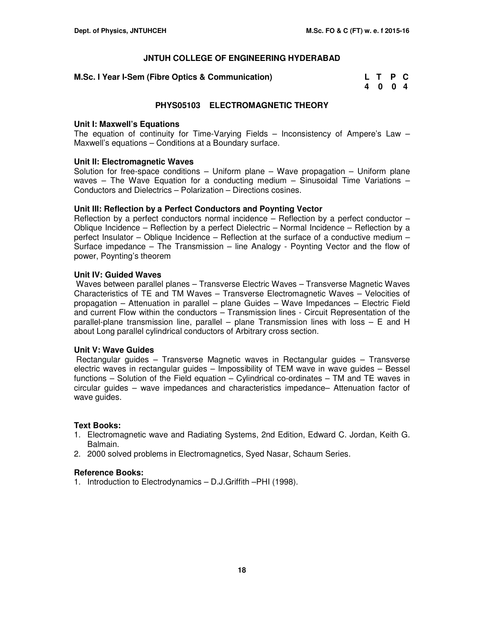| M.Sc. I Year I-Sem (Fibre Optics & Communication) | L T P C |  |
|---------------------------------------------------|---------|--|
|                                                   | 4004    |  |

### **PHYS05103 ELECTROMAGNETIC THEORY**

### **Unit I: Maxwell's Equations**

The equation of continuity for Time-Varying Fields – Inconsistency of Ampere's Law – Maxwell's equations – Conditions at a Boundary surface.

### **Unit II: Electromagnetic Waves**

Solution for free-space conditions  $-$  Uniform plane  $-$  Wave propagation  $-$  Uniform plane waves – The Wave Equation for a conducting medium – Sinusoidal Time Variations – Conductors and Dielectrics – Polarization – Directions cosines.

### **Unit III: Reflection by a Perfect Conductors and Poynting Vector**

Reflection by a perfect conductors normal incidence – Reflection by a perfect conductor – Oblique Incidence – Reflection by a perfect Dielectric – Normal Incidence – Reflection by a perfect Insulator – Oblique Incidence – Reflection at the surface of a conductive medium – Surface impedance – The Transmission – line Analogy - Poynting Vector and the flow of power, Poynting's theorem

### **Unit IV: Guided Waves**

Waves between parallel planes – Transverse Electric Waves – Transverse Magnetic Waves Characteristics of TE and TM Waves – Transverse Electromagnetic Waves – Velocities of propagation – Attenuation in parallel – plane Guides – Wave Impedances – Electric Field and current Flow within the conductors – Transmission lines - Circuit Representation of the parallel-plane transmission line, parallel – plane Transmission lines with loss – E and H about Long parallel cylindrical conductors of Arbitrary cross section.

### **Unit V: Wave Guides**

Rectangular guides – Transverse Magnetic waves in Rectangular guides – Transverse electric waves in rectangular guides – Impossibility of TEM wave in wave guides – Bessel functions – Solution of the Field equation – Cylindrical co-ordinates – TM and TE waves in circular guides – wave impedances and characteristics impedance– Attenuation factor of wave guides.

### **Text Books:**

- 1. Electromagnetic wave and Radiating Systems, 2nd Edition, Edward C. Jordan, Keith G. Balmain.
- 2. 2000 solved problems in Electromagnetics, Syed Nasar, Schaum Series.

#### **Reference Books:**

1. Introduction to Electrodynamics – D.J.Griffith –PHI (1998).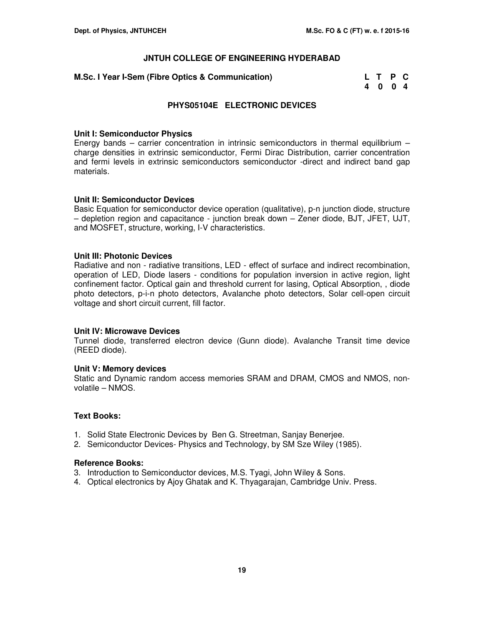| M.Sc. I Year I-Sem (Fibre Optics & Communication) | L T P C |  |
|---------------------------------------------------|---------|--|
|                                                   | 4004    |  |

### **PHYS05104E ELECTRONIC DEVICES**

#### **Unit I: Semiconductor Physics**

Energy bands – carrier concentration in intrinsic semiconductors in thermal equilibrium – charge densities in extrinsic semiconductor, Fermi Dirac Distribution, carrier concentration and fermi levels in extrinsic semiconductors semiconductor -direct and indirect band gap materials.

### **Unit II: Semiconductor Devices**

Basic Equation for semiconductor device operation (qualitative), p-n junction diode, structure – depletion region and capacitance - junction break down – Zener diode, BJT, JFET, UJT, and MOSFET, structure, working, I-V characteristics.

### **Unit III: Photonic Devices**

Radiative and non - radiative transitions, LED - effect of surface and indirect recombination, operation of LED, Diode lasers - conditions for population inversion in active region, light confinement factor. Optical gain and threshold current for lasing, Optical Absorption, , diode photo detectors, p-i-n photo detectors, Avalanche photo detectors, Solar cell-open circuit voltage and short circuit current, fill factor.

#### **Unit IV: Microwave Devices**

Tunnel diode, transferred electron device (Gunn diode). Avalanche Transit time device (REED diode).

#### **Unit V: Memory devices**

Static and Dynamic random access memories SRAM and DRAM, CMOS and NMOS, nonvolatile – NMOS.

### **Text Books:**

- 1. Solid State Electronic Devices by Ben G. Streetman, Sanjay Benerjee.
- 2. Semiconductor Devices- Physics and Technology, by SM Sze Wiley (1985).

- 3. Introduction to Semiconductor devices, M.S. Tyagi, John Wiley & Sons.
- 4. Optical electronics by Ajoy Ghatak and K. Thyagarajan, Cambridge Univ. Press.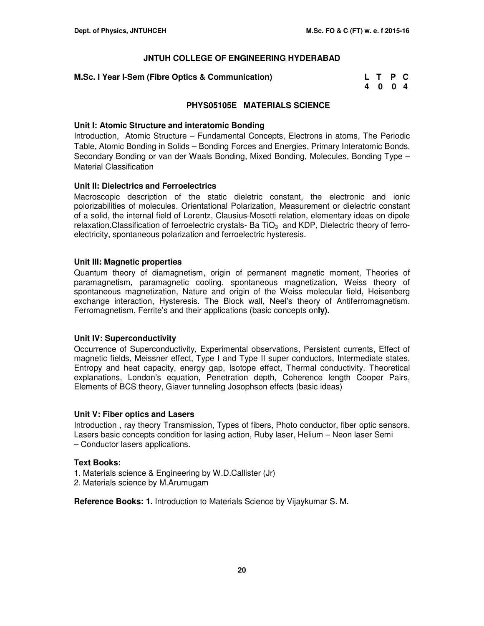### **M.Sc. I Year I-Sem (Fibre Optics & Communication)**

| M.Sc. I Year I-Sem (Fibre Optics & Communication) | L T P C |  |
|---------------------------------------------------|---------|--|
|                                                   | 4004    |  |

### **PHYS05105E MATERIALS SCIENCE**

### **Unit I: Atomic Structure and interatomic Bonding**

Introduction, Atomic Structure – Fundamental Concepts, Electrons in atoms, The Periodic Table, Atomic Bonding in Solids – Bonding Forces and Energies, Primary Interatomic Bonds, Secondary Bonding or van der Waals Bonding, Mixed Bonding, Molecules, Bonding Type – Material Classification

### **Unit II: Dielectrics and Ferroelectrics**

Macroscopic description of the static dieletric constant, the electronic and ionic polorizabilities of molecules. Orientational Polarization, Measurement or dielectric constant of a solid, the internal field of Lorentz, Clausius-Mosotti relation, elementary ideas on dipole relaxation. Classification of ferroelectric crystals- Ba TiO<sub>3</sub> and KDP, Dielectric theory of ferroelectricity, spontaneous polarization and ferroelectric hysteresis.

### **Unit III: Magnetic properties**

Quantum theory of diamagnetism, origin of permanent magnetic moment, Theories of paramagnetism, paramagnetic cooling, spontaneous magnetization, Weiss theory of spontaneous magnetization, Nature and origin of the Weiss molecular field, Heisenberg exchange interaction, Hysteresis. The Block wall, Neel's theory of Antiferromagnetism. Ferromagnetism, Ferrite's and their applications (basic concepts on**ly).**

### **Unit IV: Superconductivity**

Occurrence of Superconductivity, Experimental observations, Persistent currents, Effect of magnetic fields, Meissner effect, Type I and Type II super conductors, Intermediate states, Entropy and heat capacity, energy gap, Isotope effect, Thermal conductivity. Theoretical explanations, London's equation, Penetration depth, Coherence length Cooper Pairs, Elements of BCS theory, Giaver tunneling Josophson effects (basic ideas)

### **Unit V: Fiber optics and Lasers**

Introduction , ray theory Transmission, Types of fibers, Photo conductor, fiber optic sensors. Lasers basic concepts condition for lasing action, Ruby laser, Helium – Neon laser Semi – Conductor lasers applications.

### **Text Books:**

- 1. Materials science & Engineering by W.D.Callister (Jr)
- 2. Materials science by M.Arumugam

**Reference Books: 1.** Introduction to Materials Science by Vijaykumar S. M.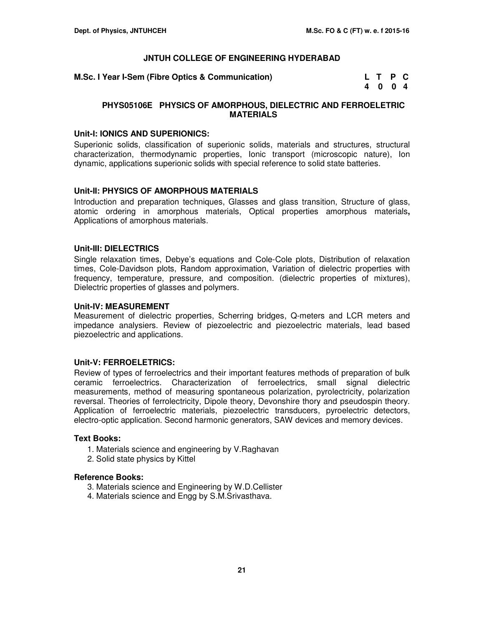**M.Sc. I Year I-Sem (Fibre Optics & Communication)** 

| M.Sc. I Year I-Sem (Fibre Optics & Communication) | L T P C |  |  |
|---------------------------------------------------|---------|--|--|
|                                                   | 4004    |  |  |

### **PHYS05106E PHYSICS OF AMORPHOUS, DIELECTRIC AND FERROELETRIC MATERIALS**

#### **Unit-I: IONICS AND SUPERIONICS:**

Superionic solids, classification of superionic solids, materials and structures, structural characterization, thermodynamic properties, Ionic transport (microscopic nature), Ion dynamic, applications superionic solids with special reference to solid state batteries.

### **Unit-II: PHYSICS OF AMORPHOUS MATERIALS**

Introduction and preparation techniques, Glasses and glass transition, Structure of glass, atomic ordering in amorphous materials, Optical properties amorphous materials**,** Applications of amorphous materials.

### **Unit-III: DIELECTRICS**

Single relaxation times, Debye's equations and Cole-Cole plots, Distribution of relaxation times, Cole-Davidson plots, Random approximation, Variation of dielectric properties with frequency, temperature, pressure, and composition. (dielectric properties of mixtures), Dielectric properties of glasses and polymers.

### **Unit-IV: MEASUREMENT**

Measurement of dielectric properties, Scherring bridges, Q-meters and LCR meters and impedance analysiers. Review of piezoelectric and piezoelectric materials, lead based piezoelectric and applications.

### **Unit-V: FERROELETRICS:**

Review of types of ferroelectrics and their important features methods of preparation of bulk ceramic ferroelectrics. Characterization of ferroelectrics, small signal dielectric measurements, method of measuring spontaneous polarization, pyrolectricity, polarization reversal. Theories of ferrolectricity, Dipole theory, Devonshire thory and pseudospin theory. Application of ferroelectric materials, piezoelectric transducers, pyroelectric detectors, electro-optic application. Second harmonic generators, SAW devices and memory devices.

#### **Text Books:**

- 1. Materials science and engineering by V.Raghavan
- 2. Solid state physics by Kittel

- 3. Materials science and Engineering by W.D.Cellister
- 4. Materials science and Engg by S.M.Srivasthava.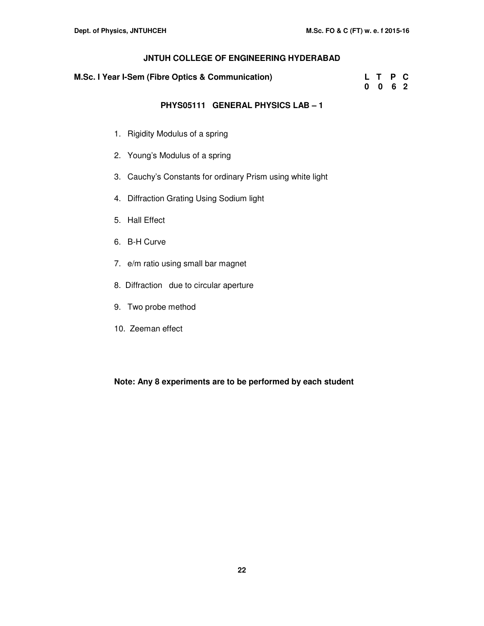| M.Sc. I Year I-Sem (Fibre Optics & Communication) | L T P C |  |  |
|---------------------------------------------------|---------|--|--|
|                                                   | 0062    |  |  |

### **PHYS05111 GENERAL PHYSICS LAB – 1**

- 1. Rigidity Modulus of a spring
- 2. Young's Modulus of a spring
- 3. Cauchy's Constants for ordinary Prism using white light
- 4. Diffraction Grating Using Sodium light
- 5. Hall Effect
- 6. B-H Curve
- 7. e/m ratio using small bar magnet
- 8. Diffraction due to circular aperture
- 9. Two probe method
- 10. Zeeman effect

### **Note: Any 8 experiments are to be performed by each student**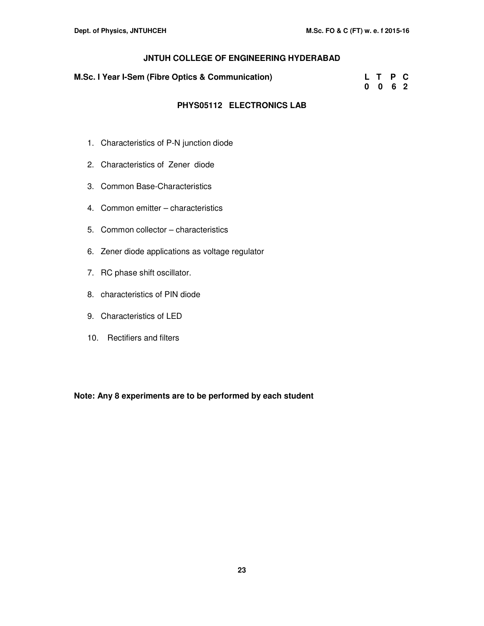| M.Sc. I Year I-Sem (Fibre Optics & Communication) | L T P C<br>0062 |  |  |
|---------------------------------------------------|-----------------|--|--|
|                                                   |                 |  |  |

### **PHYS05112 ELECTRONICS LAB**

- 1. Characteristics of P-N junction diode
- 2. Characteristics of Zener diode
- 3. Common Base-Characteristics
- 4. Common emitter characteristics
- 5. Common collector characteristics
- 6. Zener diode applications as voltage regulator
- 7. RC phase shift oscillator.
- 8. characteristics of PIN diode
- 9. Characteristics of LED
- 10. Rectifiers and filters

**Note: Any 8 experiments are to be performed by each student**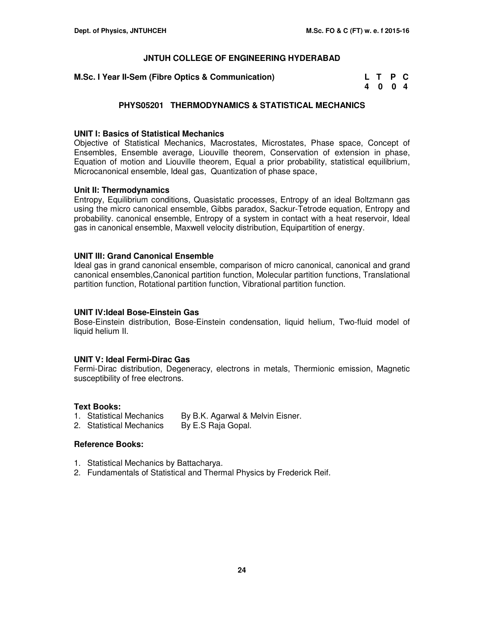| M.Sc. I Year II-Sem (Fibre Optics & Communication) | L T P C |  |
|----------------------------------------------------|---------|--|
|                                                    | 4004    |  |

### **PHYS05201 THERMODYNAMICS & STATISTICAL MECHANICS**

### **UNIT I: Basics of Statistical Mechanics**

Objective of Statistical Mechanics, Macrostates, Microstates, Phase space, Concept of Ensembles, Ensemble average, Liouville theorem, Conservation of extension in phase, Equation of motion and Liouville theorem, Equal a prior probability, statistical equilibrium, Microcanonical ensemble, Ideal gas, Quantization of phase space ,

### **Unit II: Thermodynamics**

Entropy, Equilibrium conditions, Quasistatic processes, Entropy of an ideal Boltzmann gas using the micro canonical ensemble, Gibbs paradox, Sackur-Tetrode equation, Entropy and probability. canonical ensemble, Entropy of a system in contact with a heat reservoir, Ideal gas in canonical ensemble, Maxwell velocity distribution, Equipartition of energy.

### **UNIT III: Grand Canonical Ensemble**

Ideal gas in grand canonical ensemble, comparison of micro canonical, canonical and grand canonical ensembles,Canonical partition function, Molecular partition functions, Translational partition function, Rotational partition function, Vibrational partition function.

### **UNIT IV:Ideal Bose-Einstein Gas**

Bose-Einstein distribution, Bose-Einstein condensation, liquid helium, Two-fluid model of liquid helium II.

### **UNIT V: Ideal Fermi-Dirac Gas**

Fermi-Dirac distribution, Degeneracy, electrons in metals, Thermionic emission, Magnetic susceptibility of free electrons.

#### **Text Books:**

- 1. Statistical Mechanics By B.K. Agarwal & Melvin Eisner.
- 2. Statistical Mechanics By E.S Raja Gopal.

- 1. Statistical Mechanics by Battacharya.
- 2. Fundamentals of Statistical and Thermal Physics by Frederick Reif.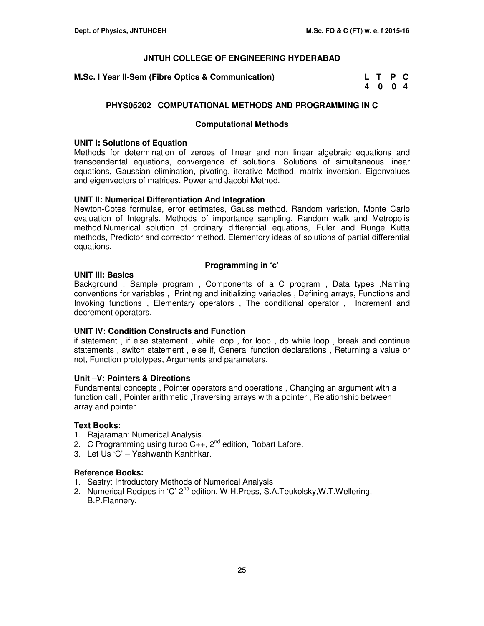**M.Sc. I Year II-Sem (Fibre Optics & Communication)** 

| M.Sc. I Year II-Sem (Fibre Optics & Communication) | L T P C |  |  |
|----------------------------------------------------|---------|--|--|
|                                                    | 4004    |  |  |

### **PHYS05202 COMPUTATIONAL METHODS AND PROGRAMMING IN C**

### **Computational Methods**

### **UNIT I: Solutions of Equation**

Methods for determination of zeroes of linear and non linear algebraic equations and transcendental equations, convergence of solutions. Solutions of simultaneous linear equations, Gaussian elimination, pivoting, iterative Method, matrix inversion. Eigenvalues and eigenvectors of matrices, Power and Jacobi Method.

### **UNIT II: Numerical Differentiation And Integration**

Newton-Cotes formulae, error estimates, Gauss method. Random variation, Monte Carlo evaluation of Integrals, Methods of importance sampling, Random walk and Metropolis method.Numerical solution of ordinary differential equations, Euler and Runge Kutta methods, Predictor and corrector method. Elementory ideas of solutions of partial differential equations.

### **Programming in 'c'**

### **UNIT III: Basics**

Background , Sample program , Components of a C program , Data types ,Naming conventions for variables , Printing and initializing variables , Defining arrays, Functions and Invoking functions , Elementary operators , The conditional operator , Increment and decrement operators.

### **UNIT IV: Condition Constructs and Function**

if statement , if else statement , while loop , for loop , do while loop , break and continue statements , switch statement , else if, General function declarations , Returning a value or not, Function prototypes, Arguments and parameters.

### **Unit –V: Pointers & Directions**

Fundamental concepts , Pointer operators and operations , Changing an argument with a function call , Pointer arithmetic ,Traversing arrays with a pointer , Relationship between array and pointer

### **Text Books:**

- 1. Rajaraman: Numerical Analysis.
- 2. C Programming using turbo  $C_{++}$ ,  $2^{nd}$  edition, Robart Lafore.
- 3. Let Us 'C' Yashwanth Kanithkar.

- 1. Sastry: Introductory Methods of Numerical Analysis
- 2. Numerical Recipes in 'C' 2<sup>nd</sup> edition, W.H.Press, S.A.Teukolsky, W.T.Wellering, B.P.Flannery.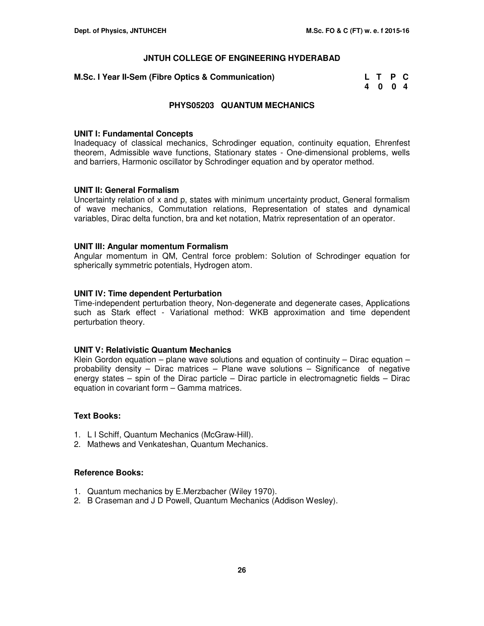| M.Sc. I Year II-Sem (Fibre Optics & Communication) | L T P C |  |
|----------------------------------------------------|---------|--|
|                                                    | 4004    |  |

### **PHYS05203 QUANTUM MECHANICS**

#### **UNIT I: Fundamental Concepts**

Inadequacy of classical mechanics, Schrodinger equation, continuity equation, Ehrenfest theorem, Admissible wave functions, Stationary states - One-dimensional problems, wells and barriers, Harmonic oscillator by Schrodinger equation and by operator method.

### **UNIT II: General Formalism**

Uncertainty relation of x and p, states with minimum uncertainty product, General formalism of wave mechanics, Commutation relations, Representation of states and dynamical variables, Dirac delta function, bra and ket notation, Matrix representation of an operator.

### **UNIT III: Angular momentum Formalism**

Angular momentum in QM, Central force problem: Solution of Schrodinger equation for spherically symmetric potentials, Hydrogen atom.

### **UNIT IV: Time dependent Perturbation**

Time-independent perturbation theory, Non-degenerate and degenerate cases, Applications such as Stark effect - Variational method: WKB approximation and time dependent perturbation theory.

### **UNIT V: Relativistic Quantum Mechanics**

Klein Gordon equation – plane wave solutions and equation of continuity – Dirac equation – probability density – Dirac matrices – Plane wave solutions – Significance of negative energy states – spin of the Dirac particle – Dirac particle in electromagnetic fields – Dirac equation in covariant form – Gamma matrices.

### **Text Books:**

- 1. L I Schiff, Quantum Mechanics (McGraw-Hill).
- 2. Mathews and Venkateshan, Quantum Mechanics.

- 1. Quantum mechanics by E.Merzbacher (Wiley 1970).
- 2. B Craseman and J D Powell, Quantum Mechanics (Addison Wesley).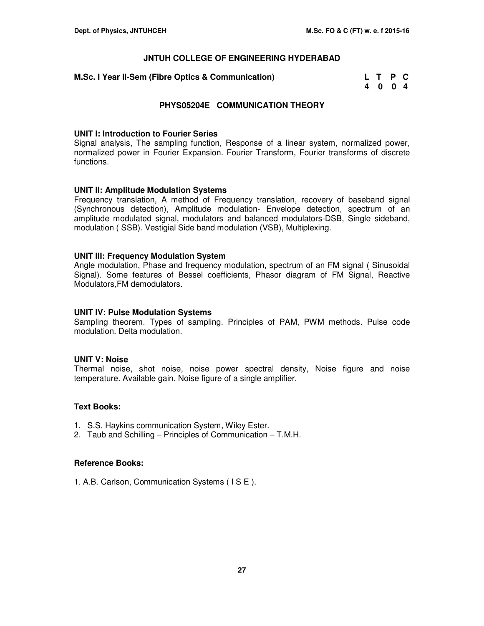| M.Sc. I Year II-Sem (Fibre Optics & Communication) | L T P C |  |
|----------------------------------------------------|---------|--|
|                                                    | 4004    |  |

### **PHYS05204E COMMUNICATION THEORY**

#### **UNIT I: Introduction to Fourier Series**

Signal analysis, The sampling function, Response of a linear system, normalized power, normalized power in Fourier Expansion. Fourier Transform, Fourier transforms of discrete functions.

### **UNIT II: Amplitude Modulation Systems**

Frequency translation, A method of Frequency translation, recovery of baseband signal (Synchronous detection), Amplitude modulation- Envelope detection, spectrum of an amplitude modulated signal, modulators and balanced modulators-DSB, Single sideband, modulation ( SSB). Vestigial Side band modulation (VSB), Multiplexing.

### **UNIT III: Frequency Modulation System**

Angle modulation, Phase and frequency modulation, spectrum of an FM signal ( Sinusoidal Signal). Some features of Bessel coefficients, Phasor diagram of FM Signal, Reactive Modulators,FM demodulators.

### **UNIT IV: Pulse Modulation Systems**

Sampling theorem. Types of sampling. Principles of PAM, PWM methods. Pulse code modulation. Delta modulation.

#### **UNIT V: Noise**

Thermal noise, shot noise, noise power spectral density, Noise figure and noise temperature. Available gain. Noise figure of a single amplifier.

### **Text Books:**

- 1. S.S. Haykins communication System, Wiley Ester.
- 2. Taub and Schilling Principles of Communication T.M.H.

#### **Reference Books:**

1. A.B. Carlson, Communication Systems ( I S E ).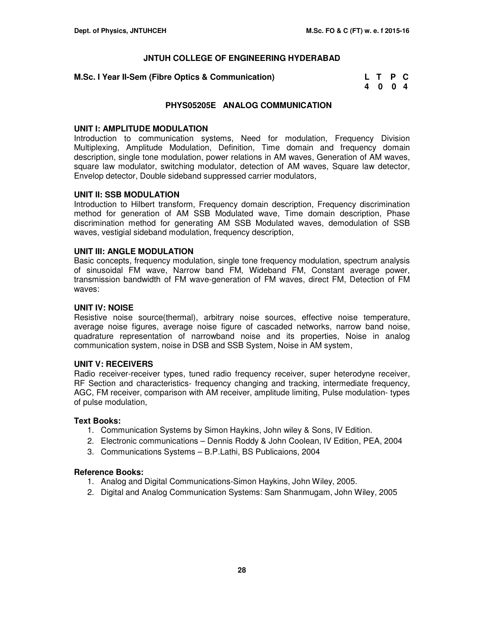### **M.Sc. I Year II-Sem (Fibre Optics & Communication)**

| M.Sc. I Year II-Sem (Fibre Optics & Communication) | L T P C |  |
|----------------------------------------------------|---------|--|
|                                                    | 4004    |  |

### **PHYS05205E ANALOG COMMUNICATION**

### **UNIT I: AMPLITUDE MODULATION**

Introduction to communication systems, Need for modulation, Frequency Division Multiplexing, Amplitude Modulation, Definition, Time domain and frequency domain description, single tone modulation, power relations in AM waves, Generation of AM waves, square law modulator, switching modulator, detection of AM waves, Square law detector, Envelop detector, Double sideband suppressed carrier modulators,

### **UNIT II: SSB MODULATION**

Introduction to Hilbert transform, Frequency domain description, Frequency discrimination method for generation of AM SSB Modulated wave, Time domain description, Phase discrimination method for generating AM SSB Modulated waves, demodulation of SSB waves, vestigial sideband modulation, frequency description,

### **UNIT III: ANGLE MODULATION**

Basic concepts, frequency modulation, single tone frequency modulation, spectrum analysis of sinusoidal FM wave, Narrow band FM, Wideband FM, Constant average power, transmission bandwidth of FM wave-generation of FM waves, direct FM, Detection of FM waves:

### **UNIT IV: NOISE**

Resistive noise source(thermal), arbitrary noise sources, effective noise temperature, average noise figures, average noise figure of cascaded networks, narrow band noise, quadrature representation of narrowband noise and its properties, Noise in analog communication system, noise in DSB and SSB System, Noise in AM system,

#### **UNIT V: RECEIVERS**

Radio receiver-receiver types, tuned radio frequency receiver, super heterodyne receiver, RF Section and characteristics- frequency changing and tracking, intermediate frequency, AGC, FM receiver, comparison with AM receiver, amplitude limiting, Pulse modulation- types of pulse modulation,

#### **Text Books:**

- 1. Communication Systems by Simon Haykins, John wiley & Sons, IV Edition.
- 2. Electronic communications Dennis Roddy & John Coolean, IV Edition, PEA, 2004
- 3. Communications Systems B.P.Lathi, BS Publicaions, 2004

- 1. Analog and Digital Communications-Simon Haykins, John Wiley, 2005.
- 2. Digital and Analog Communication Systems: Sam Shanmugam, John Wiley, 2005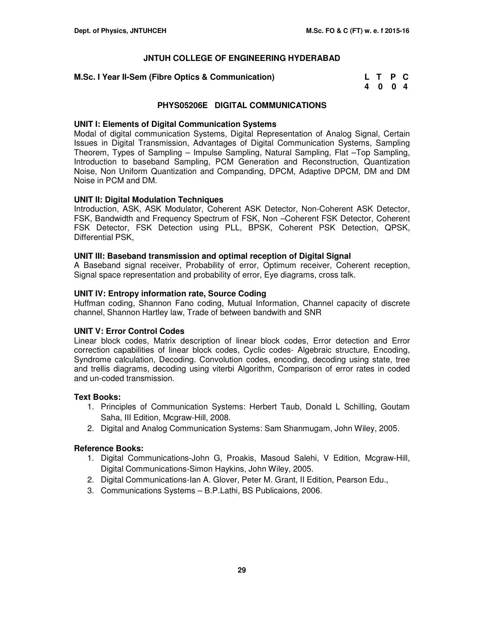### **M.Sc. I Year II-Sem (Fibre Optics & Communication)**

| M.Sc. I Year II-Sem (Fibre Optics & Communication) | L T P C |  |
|----------------------------------------------------|---------|--|
|                                                    | 4004    |  |

### **PHYS05206E DIGITAL COMMUNICATIONS**

### **UNIT I: Elements of Digital Communication Systems**

Modal of digital communication Systems, Digital Representation of Analog Signal, Certain Issues in Digital Transmission, Advantages of Digital Communication Systems, Sampling Theorem, Types of Sampling – Impulse Sampling, Natural Sampling, Flat –Top Sampling, Introduction to baseband Sampling, PCM Generation and Reconstruction, Quantization Noise, Non Uniform Quantization and Companding, DPCM, Adaptive DPCM, DM and DM Noise in PCM and DM.

### **UNIT II: Digital Modulation Techniques**

Introduction, ASK, ASK Modulator, Coherent ASK Detector, Non-Coherent ASK Detector, FSK, Bandwidth and Frequency Spectrum of FSK, Non –Coherent FSK Detector, Coherent FSK Detector, FSK Detection using PLL, BPSK, Coherent PSK Detection, QPSK, Differential PSK,

### **UNIT III: Baseband transmission and optimal reception of Digital Signal**

A Baseband signal receiver, Probability of error, Optimum receiver, Coherent reception, Signal space representation and probability of error, Eye diagrams, cross talk.

### **UNIT IV: Entropy information rate, Source Coding**

Huffman coding, Shannon Fano coding, Mutual Information, Channel capacity of discrete channel, Shannon Hartley law, Trade of between bandwith and SNR

### **UNIT V: Error Control Codes**

Linear block codes, Matrix description of linear block codes, Error detection and Error correction capabilities of linear block codes, Cyclic codes- Algebraic structure, Encoding, Syndrome calculation, Decoding. Convolution codes, encoding, decoding using state, tree and trellis diagrams, decoding using viterbi Algorithm, Comparison of error rates in coded and un-coded transmission.

### **Text Books:**

- 1. Principles of Communication Systems: Herbert Taub, Donald L Schilling, Goutam Saha, III Edition, Mcgraw-Hill, 2008.
- 2. Digital and Analog Communication Systems: Sam Shanmugam, John Wiley, 2005.

- 1. Digital Communications-John G, Proakis, Masoud Salehi, V Edition, Mcgraw-Hill, Digital Communications-Simon Haykins, John Wiley, 2005.
- 2. Digital Communications-Ian A. Glover, Peter M. Grant, II Edition, Pearson Edu.,
- 3. Communications Systems B.P.Lathi, BS Publicaions, 2006.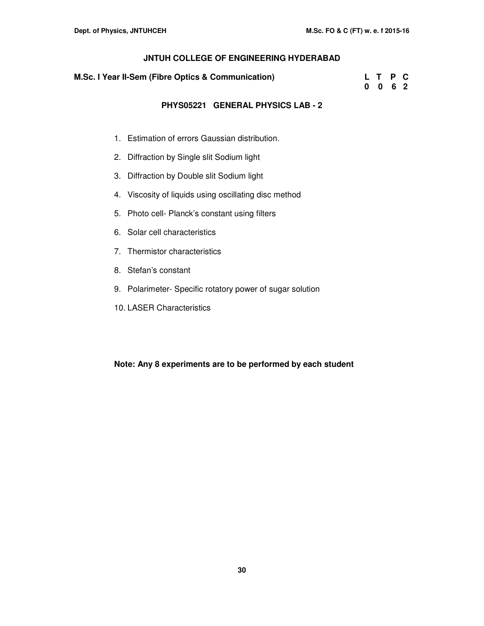| M.Sc. I Year II-Sem (Fibre Optics & Communication) |  | L T P C |  |
|----------------------------------------------------|--|---------|--|
|                                                    |  | 0062    |  |

### **PHYS05221 GENERAL PHYSICS LAB - 2**

- 1. Estimation of errors Gaussian distribution.
- 2. Diffraction by Single slit Sodium light
- 3. Diffraction by Double slit Sodium light
- 4. Viscosity of liquids using oscillating disc method
- 5. Photo cell- Planck's constant using filters
- 6. Solar cell characteristics
- 7. Thermistor characteristics
- 8. Stefan's constant
- 9. Polarimeter- Specific rotatory power of sugar solution
- 10. LASER Characteristics

**Note: Any 8 experiments are to be performed by each student**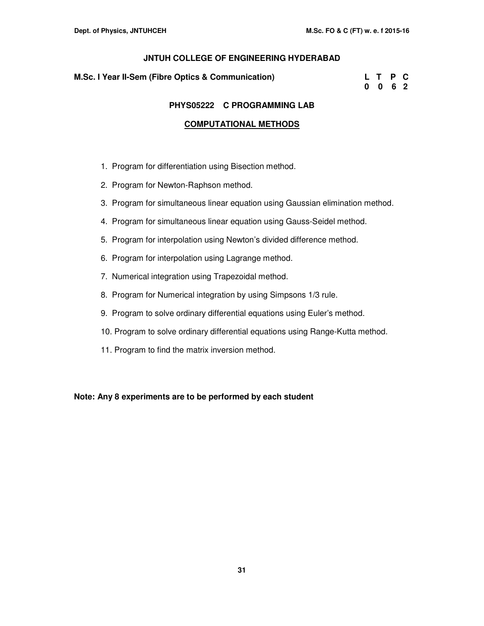#### **M.Sc. I Year II-Sem (Fibre Optics & Communication)**

| M.Sc. I Year II-Sem (Fibre Optics & Communication) | L T P C         |  |
|----------------------------------------------------|-----------------|--|
|                                                    | $0 \t0 \t6 \t2$ |  |

### **PHYS05222 C PROGRAMMING LAB**

### **COMPUTATIONAL METHODS**

- 1. Program for differentiation using Bisection method.
- 2. Program for Newton-Raphson method.
- 3. Program for simultaneous linear equation using Gaussian elimination method.
- 4. Program for simultaneous linear equation using Gauss-Seidel method.
- 5. Program for interpolation using Newton's divided difference method.
- 6. Program for interpolation using Lagrange method.
- 7. Numerical integration using Trapezoidal method.
- 8. Program for Numerical integration by using Simpsons 1/3 rule.
- 9. Program to solve ordinary differential equations using Euler's method.
- 10. Program to solve ordinary differential equations using Range-Kutta method.
- 11. Program to find the matrix inversion method.

**Note: Any 8 experiments are to be performed by each student**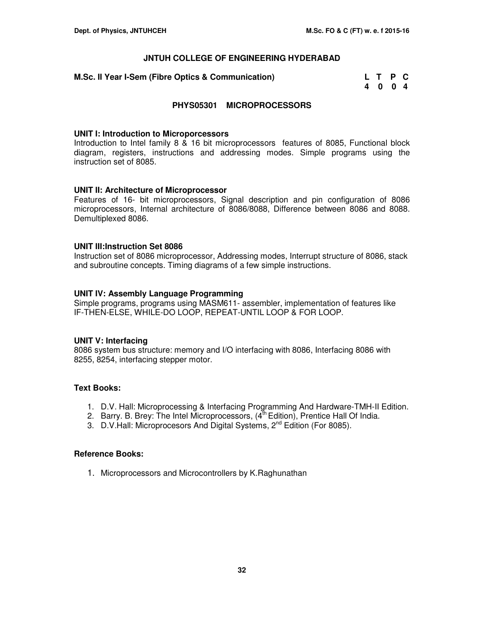**M.Sc. II Year I-Sem (Fibre Optics & Communication)** 

| M.Sc. II Year I-Sem (Fibre Optics & Communication) | L T P C |  |  |
|----------------------------------------------------|---------|--|--|
|                                                    | 4004    |  |  |

### **PHYS05301 MICROPROCESSORS**

#### **UNIT I: Introduction to Microporcessors**

Introduction to Intel family 8 & 16 bit microprocessors features of 8085, Functional block diagram, registers, instructions and addressing modes. Simple programs using the instruction set of 8085.

### **UNIT II: Architecture of Microprocessor**

Features of 16- bit microprocessors, Signal description and pin configuration of 8086 microprocessors, Internal architecture of 8086/8088, Difference between 8086 and 8088. Demultiplexed 8086.

### **UNIT III:Instruction Set 8086**

Instruction set of 8086 microprocessor, Addressing modes, Interrupt structure of 8086, stack and subroutine concepts. Timing diagrams of a few simple instructions.

### **UNIT IV: Assembly Language Programming**

Simple programs, programs using MASM611- assembler, implementation of features like IF-THEN-ELSE, WHILE-DO LOOP, REPEAT-UNTIL LOOP & FOR LOOP.

#### **UNIT V: Interfacing**

8086 system bus structure: memory and I/O interfacing with 8086, Interfacing 8086 with 8255, 8254, interfacing stepper motor.

### **Text Books:**

- 1. D.V. Hall: Microprocessing & Interfacing Programming And Hardware-TMH-II Edition.
- 2. Barry. B. Brey: The Intel Microprocessors,  $(4<sup>th</sup> Edition)$ , Prentice Hall Of India.
- 3. D.V.Hall: Microprocesors And Digital Systems, 2<sup>nd</sup> Edition (For 8085).

### **Reference Books:**

1. Microprocessors and Microcontrollers by K.Raghunathan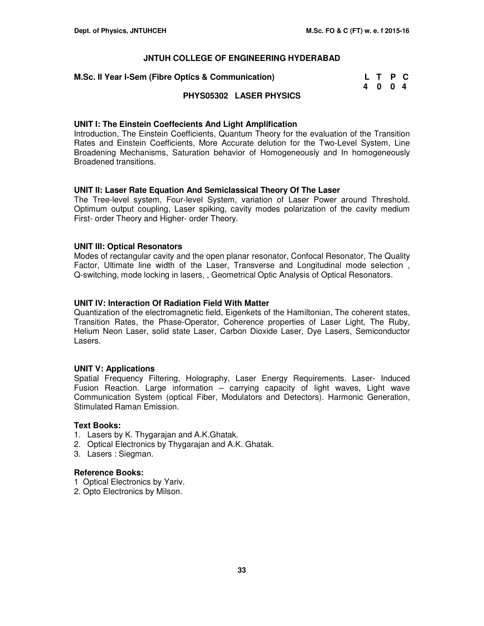| <b>A.Sc. II Year I-Sem (Fibre Optics &amp; Communication)</b> | L T P C |  |
|---------------------------------------------------------------|---------|--|
|                                                               | 4004    |  |

### **PHYS05302 LASER PHYSICS**

### **UNIT I: The Einstein Coeffecients And Light Amplification**

Introduction, The Einstein Coefficients, Quantum Theory for the evaluation of the Transition Rates and Einstein Coefficients, More Accurate delution for the Two-Level System, Line Broadening Mechanisms, Saturation behavior of Homogeneously and In homogeneously Broadened transitions.

### **UNIT II: Laser Rate Equation And Semiclassical Theory Of The Laser**

The Tree-level system, Four-level System, variation of Laser Power around Threshold. Optimum output coupling, Laser spiking, cavity modes polarization of the cavity medium First- order Theory and Higher- order Theory.

### **UNIT III: Optical Resonators**

Modes of rectangular cavity and the open planar resonator, Confocal Resonator, The Quality Factor, Ultimate line width of the Laser, Transverse and Longitudinal mode selection , Q-switching, mode locking in lasers, , Geometrical Optic Analysis of Optical Resonators.

### **UNIT IV: Interaction Of Radiation Field With Matter**

Quantization of the electromagnetic field, Eigenkets of the Hamiltonian, The coherent states, Transition Rates, the Phase-Operator, Coherence properties of Laser Light, The Ruby, Helium Neon Laser, solid state Laser, Carbon Dioxide Laser, Dye Lasers, Semiconductor Lasers.

#### **UNIT V: Applications**

Spatial Frequency Filtering, Holography, Laser Energy Requirements. Laser- Induced Fusion Reaction. Large information – carrying capacity of light waves, Light wave Communication System (optical Fiber, Modulators and Detectors). Harmonic Generation, Stimulated Raman Emission.

#### **Text Books:**

- 1. Lasers by K. Thygarajan and A.K.Ghatak.
- 2. Optical Electronics by Thygarajan and A.K. Ghatak.
- 3. Lasers : Siegman.

- 1 Optical Electronics by Yariv.
- 2. Opto Electronics by Milson.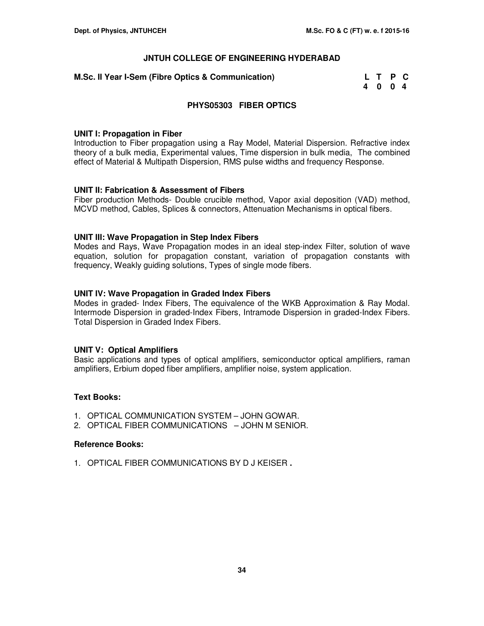| <b>A.Sc. II Year I-Sem (Fibre Optics &amp; Communication)</b> | L T P C |  |
|---------------------------------------------------------------|---------|--|
|                                                               | 4004    |  |

### **PHYS05303 FIBER OPTICS**

### **UNIT I: Propagation in Fiber**

Introduction to Fiber propagation using a Ray Model, Material Dispersion. Refractive index theory of a bulk media, Experimental values, Time dispersion in bulk media, The combined effect of Material & Multipath Dispersion, RMS pulse widths and frequency Response.

### **UNIT II: Fabrication & Assessment of Fibers**

Fiber production Methods- Double crucible method, Vapor axial deposition (VAD) method, MCVD method, Cables, Splices & connectors, Attenuation Mechanisms in optical fibers.

### **UNIT III: Wave Propagation in Step Index Fibers**

Modes and Rays, Wave Propagation modes in an ideal step-index Filter, solution of wave equation, solution for propagation constant, variation of propagation constants with frequency, Weakly guiding solutions, Types of single mode fibers.

### **UNIT IV: Wave Propagation in Graded Index Fibers**

Modes in graded- Index Fibers, The equivalence of the WKB Approximation & Ray Modal. Intermode Dispersion in graded-Index Fibers, Intramode Dispersion in graded-Index Fibers. Total Dispersion in Graded Index Fibers.

### **UNIT V: Optical Amplifiers**

Basic applications and types of optical amplifiers, semiconductor optical amplifiers, raman amplifiers, Erbium doped fiber amplifiers, amplifier noise, system application.

### **Text Books:**

- 1. OPTICAL COMMUNICATION SYSTEM JOHN GOWAR.
- 2. OPTICAL FIBER COMMUNICATIONS JOHN M SENIOR.

#### **Reference Books:**

1. OPTICAL FIBER COMMUNICATIONS BY D J KEISER **.**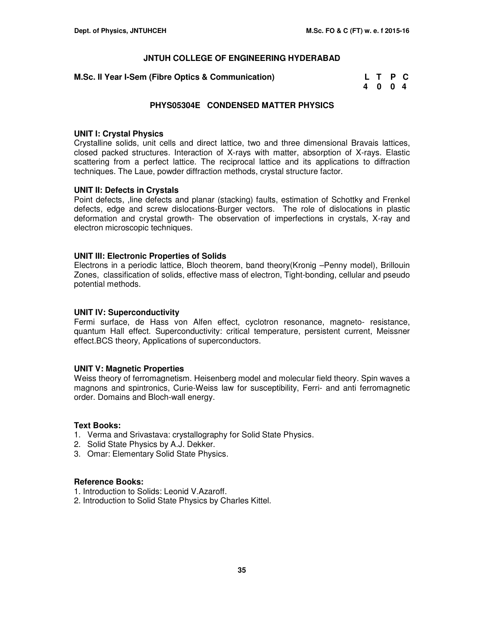| <b>A.Sc. II Year I-Sem (Fibre Optics &amp; Communication)</b> | L T P C |  |
|---------------------------------------------------------------|---------|--|
|                                                               | 4004    |  |

### **PHYS05304E CONDENSED MATTER PHYSICS**

#### **UNIT I: Crystal Physics**

Crystalline solids, unit cells and direct lattice, two and three dimensional Bravais lattices, closed packed structures. Interaction of X-rays with matter, absorption of X-rays. Elastic scattering from a perfect lattice. The reciprocal lattice and its applications to diffraction techniques. The Laue, powder diffraction methods, crystal structure factor.

### **UNIT II: Defects in Crystals**

Point defects, , line defects and planar (stacking) faults, estimation of Schottky and Frenkel defects, edge and screw dislocations-Burger vectors. The role of dislocations in plastic deformation and crystal growth- The observation of imperfections in crystals, X-ray and electron microscopic techniques.

### **UNIT III: Electronic Properties of Solids**

Electrons in a periodic lattice, Bloch theorem, band theory(Kronig –Penny model), Brillouin Zones, classification of solids, effective mass of electron, Tight-bonding, cellular and pseudo potential methods.

#### **UNIT IV: Superconductivity**

Fermi surface, de Hass von Alfen effect, cyclotron resonance, magneto- resistance, quantum Hall effect. Superconductivity: critical temperature, persistent current, Meissner effect.BCS theory, Applications of superconductors.

#### **UNIT V: Magnetic Properties**

Weiss theory of ferromagnetism. Heisenberg model and molecular field theory. Spin waves a magnons and spintronics, Curie-Weiss law for susceptibility, Ferri- and anti ferromagnetic order. Domains and Bloch-wall energy.

#### **Text Books:**

- 1. Verma and Srivastava: crystallography for Solid State Physics.
- 2. Solid State Physics by A.J. Dekker.
- 3. Omar: Elementary Solid State Physics.

- 1. Introduction to Solids: Leonid V.Azaroff.
- 2. Introduction to Solid State Physics by Charles Kittel.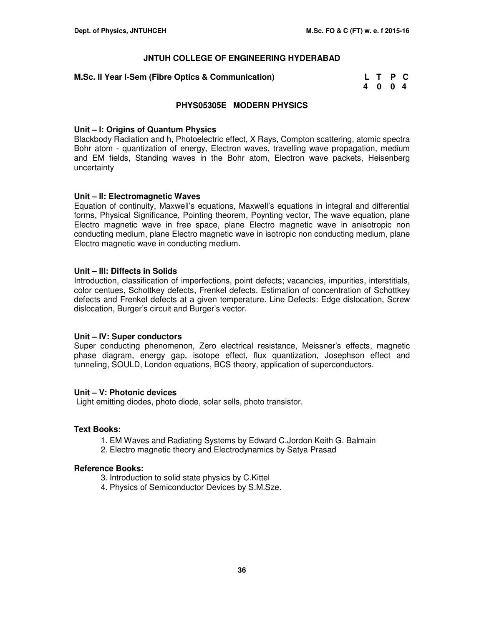### **M.Sc. II Year I-Sem (Fibre Optics & Communication)**

| <b>A.Sc. II Year I-Sem (Fibre Optics &amp; Communication)</b> | L T P C |  |
|---------------------------------------------------------------|---------|--|
|                                                               | 4004    |  |

### **PHYS05305E MODERN PHYSICS**

### **Unit – I: Origins of Quantum Physics**

Blackbody Radiation and h, Photoelectric effect, X Rays, Compton scattering, atomic spectra Bohr atom - quantization of energy, Electron waves, travelling wave propagation, medium and EM fields, Standing waves in the Bohr atom, Electron wave packets, Heisenberg uncertainty

### **Unit – II: Electromagnetic Waves**

Equation of continuity, Maxwell's equations, Maxwell's equations in integral and differential forms, Physical Significance, Pointing theorem, Poynting vector, The wave equation, plane Electro magnetic wave in free space, plane Electro magnetic wave in anisotropic non conducting medium, plane Electro magnetic wave in isotropic non conducting medium, plane Electro magnetic wave in conducting medium.

### **Unit – III: Diffects in Solids**

Introduction, classification of imperfections, point defects; vacancies, impurities, interstitials, color centues, Schottkey defects, Frenkel defects. Estimation of concentration of Schottkey defects and Frenkel defects at a given temperature. Line Defects: Edge dislocation, Screw dislocation, Burger's circuit and Burger's vector.

### **Unit – IV: Super conductors**

Super conducting phenomenon, Zero electrical resistance, Meissner's effects, magnetic phase diagram, energy gap, isotope effect, flux quantization, Josephson effect and tunneling, SOULD, London equations, BCS theory, application of superconductors.

#### **Unit – V: Photonic devices**

Light emitting diodes, photo diode, solar sells, photo transistor.

#### **Text Books:**

- 1. EM Waves and Radiating Systems by Edward C.Jordon Keith G. Balmain
- 2. Electro magnetic theory and Electrodynamics by Satya Prasad

- 3. Introduction to solid state physics by C.Kittel
- 4. Physics of Semiconductor Devices by S.M.Sze.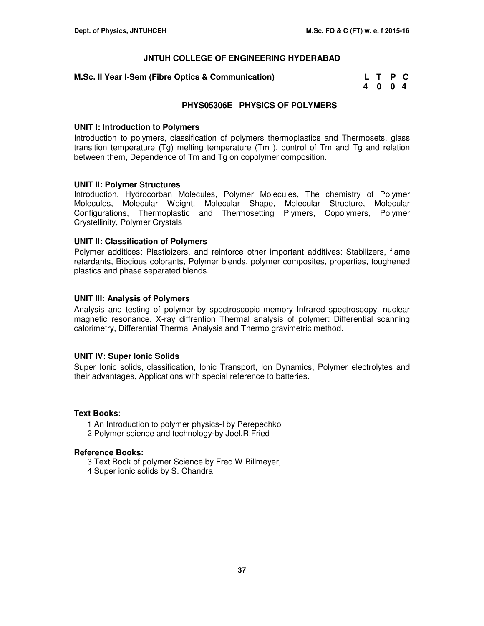### **M.Sc. II Year I-Sem (Fibre Optics & Communication)**

| <b>A.Sc. II Year I-Sem (Fibre Optics &amp; Communication)</b> | L T P C |  |
|---------------------------------------------------------------|---------|--|
|                                                               | 4004    |  |

### **PHYS05306E PHYSICS OF POLYMERS**

### **UNIT I: Introduction to Polymers**

Introduction to polymers, classification of polymers thermoplastics and Thermosets, glass transition temperature (Tg) melting temperature (Tm ), control of Tm and Tg and relation between them, Dependence of Tm and Tg on copolymer composition.

### **UNIT II: Polymer Structures**

Introduction, Hydrocorban Molecules, Polymer Molecules, The chemistry of Polymer Molecules, Molecular Weight, Molecular Shape, Molecular Structure, Molecular Configurations, Thermoplastic and Thermosetting Plymers, Copolymers, Polymer Crystellinity, Polymer Crystals

### **UNIT II: Classification of Polymers**

Polymer additices: Plastioizers, and reinforce other important additives: Stabilizers, flame retardants, Biocious colorants, Polymer blends, polymer composites, properties, toughened plastics and phase separated blends.

### **UNIT III: Analysis of Polymers**

Analysis and testing of polymer by spectroscopic memory Infrared spectroscopy, nuclear magnetic resonance, X-ray diffrention Thermal analysis of polymer: Differential scanning calorimetry, Differential Thermal Analysis and Thermo gravimetric method.

### **UNIT IV: Super Ionic Solids**

Super Ionic solids, classification, Ionic Transport, Ion Dynamics, Polymer electrolytes and their advantages, Applications with special reference to batteries.

### **Text Books**:

- 1 An Introduction to polymer physics-I by Perepechko
- 2 Polymer science and technology-by Joel.R.Fried

- 3 Text Book of polymer Science by Fred W Billmeyer,
- 4 Super ionic solids by S. Chandra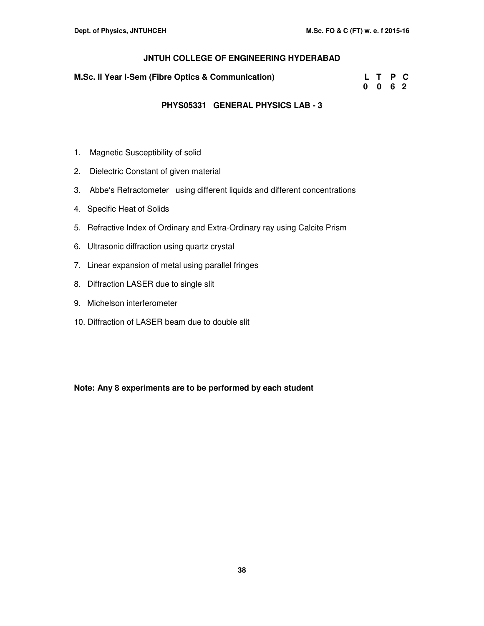### **M.Sc. II Year I-Sem (Fibre Optics & Communication)**

| <b>I.Sc. II Year I-Sem (Fibre Optics &amp; Communication)</b> |      | L T P C |  |
|---------------------------------------------------------------|------|---------|--|
|                                                               | 0062 |         |  |

### **PHYS05331 GENERAL PHYSICS LAB - 3**

- 1. Magnetic Susceptibility of solid
- 2. Dielectric Constant of given material
- 3. Abbe's Refractometer using different liquids and different concentrations
- 4. Specific Heat of Solids
- 5. Refractive Index of Ordinary and Extra-Ordinary ray using Calcite Prism
- 6. Ultrasonic diffraction using quartz crystal
- 7. Linear expansion of metal using parallel fringes
- 8. Diffraction LASER due to single slit
- 9. Michelson interferometer
- 10. Diffraction of LASER beam due to double slit

### **Note: Any 8 experiments are to be performed by each student**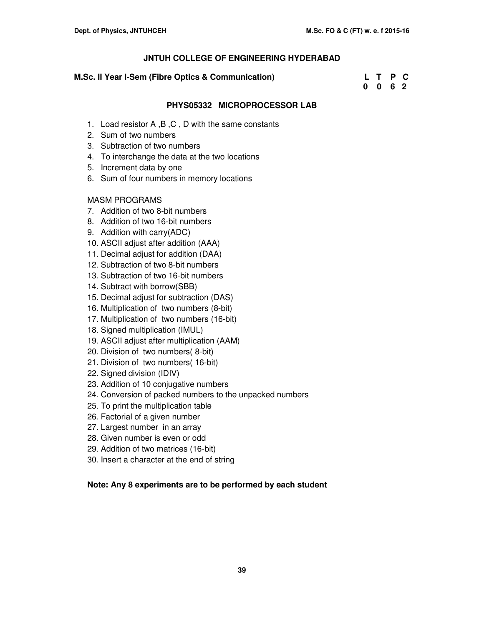### **M.Sc. II Year I-Sem (Fibre Optics & Communication)**

| <b>M.Sc. II Year I-Sem (Fibre Optics &amp; Communication)</b> |      | L T P C |  |
|---------------------------------------------------------------|------|---------|--|
|                                                               | 0062 |         |  |

### **PHYS05332 MICROPROCESSOR LAB**

- 1. Load resistor A ,B ,C , D with the same constants
- 2. Sum of two numbers
- 3. Subtraction of two numbers
- 4. To interchange the data at the two locations
- 5. Increment data by one
- 6. Sum of four numbers in memory locations

### MASM PROGRAMS

- 7. Addition of two 8-bit numbers
- 8. Addition of two 16-bit numbers
- 9. Addition with carry(ADC)
- 10. ASCII adjust after addition (AAA)
- 11. Decimal adjust for addition (DAA)
- 12. Subtraction of two 8-bit numbers
- 13. Subtraction of two 16-bit numbers
- 14. Subtract with borrow(SBB)
- 15. Decimal adjust for subtraction (DAS)
- 16. Multiplication of two numbers (8-bit)
- 17. Multiplication of two numbers (16-bit)
- 18. Signed multiplication (IMUL)
- 19. ASCII adjust after multiplication (AAM)
- 20. Division of two numbers( 8-bit)
- 21. Division of two numbers( 16-bit)
- 22. Signed division (IDIV)
- 23. Addition of 10 conjugative numbers
- 24. Conversion of packed numbers to the unpacked numbers
- 25. To print the multiplication table
- 26. Factorial of a given number
- 27. Largest number in an array
- 28. Given number is even or odd
- 29. Addition of two matrices (16-bit)
- 30. Insert a character at the end of string

### **Note: Any 8 experiments are to be performed by each student**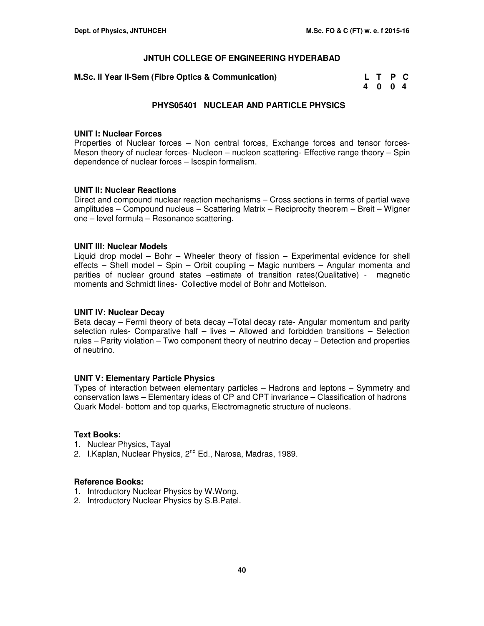| <b>A.Sc. II Year II-Sem (Fibre Optics &amp; Communication)</b> | L T P C |  |  |
|----------------------------------------------------------------|---------|--|--|
|                                                                | 4004    |  |  |

### **PHYS05401 NUCLEAR AND PARTICLE PHYSICS**

#### **UNIT I: Nuclear Forces**

Properties of Nuclear forces – Non central forces, Exchange forces and tensor forces-Meson theory of nuclear forces- Nucleon – nucleon scattering- Effective range theory – Spin dependence of nuclear forces – Isospin formalism.

### **UNIT II: Nuclear Reactions**

Direct and compound nuclear reaction mechanisms – Cross sections in terms of partial wave amplitudes – Compound nucleus – Scattering Matrix – Reciprocity theorem – Breit – Wigner one – level formula – Resonance scattering.

### **UNIT III: Nuclear Models**

Liquid drop model – Bohr – Wheeler theory of fission – Experimental evidence for shell effects – Shell model – Spin – Orbit coupling – Magic numbers – Angular momenta and parities of nuclear ground states –estimate of transition rates(Qualitative) - magnetic moments and Schmidt lines- Collective model of Bohr and Mottelson.

#### **UNIT IV: Nuclear Decay**

Beta decay – Fermi theory of beta decay –Total decay rate- Angular momentum and parity selection rules- Comparative half – lives – Allowed and forbidden transitions – Selection rules – Parity violation – Two component theory of neutrino decay – Detection and properties of neutrino.

### **UNIT V: Elementary Particle Physics**

Types of interaction between elementary particles – Hadrons and leptons – Symmetry and conservation laws – Elementary ideas of CP and CPT invariance – Classification of hadrons Quark Model- bottom and top quarks, Electromagnetic structure of nucleons.

### **Text Books:**

- 1. Nuclear Physics, Tayal
- 2. I. Kaplan, Nuclear Physics, 2<sup>nd</sup> Ed., Narosa, Madras, 1989.

- 1. Introductory Nuclear Physics by W.Wong.
- 2. Introductory Nuclear Physics by S.B.Patel.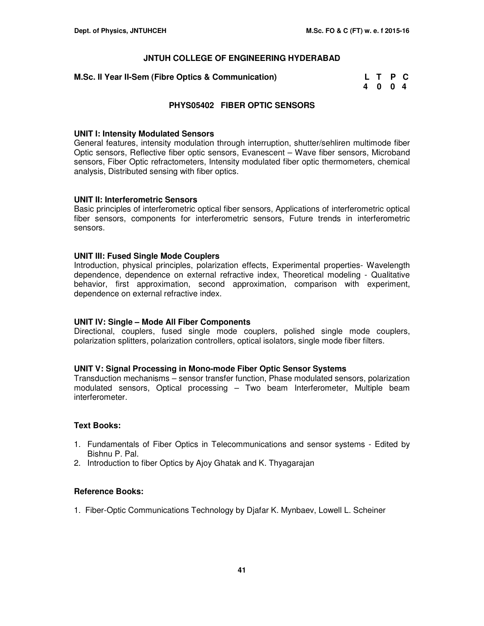| <b>A.Sc. II Year II-Sem (Fibre Optics &amp; Communication)</b> | L T P C |  |
|----------------------------------------------------------------|---------|--|
|                                                                | 4004    |  |

### **PHYS05402 FIBER OPTIC SENSORS**

#### **UNIT I: Intensity Modulated Sensors**

General features, intensity modulation through interruption, shutter/sehliren multimode fiber Optic sensors, Reflective fiber optic sensors, Evanescent – Wave fiber sensors, Microband sensors, Fiber Optic refractometers, Intensity modulated fiber optic thermometers, chemical analysis, Distributed sensing with fiber optics.

### **UNIT II: Interferometric Sensors**

Basic principles of interferometric optical fiber sensors, Applications of interferometric optical fiber sensors, components for interferometric sensors, Future trends in interferometric sensors.

### **UNIT III: Fused Single Mode Couplers**

Introduction, physical principles, polarization effects, Experimental properties- Wavelength dependence, dependence on external refractive index, Theoretical modeling - Qualitative behavior, first approximation, second approximation, comparison with experiment, dependence on external refractive index.

### **UNIT IV: Single – Mode All Fiber Components**

Directional, couplers, fused single mode couplers, polished single mode couplers, polarization splitters, polarization controllers, optical isolators, single mode fiber filters.

#### **UNIT V: Signal Processing in Mono-mode Fiber Optic Sensor Systems**

Transduction mechanisms – sensor transfer function, Phase modulated sensors, polarization modulated sensors, Optical processing – Two beam Interferometer, Multiple beam interferometer.

### **Text Books:**

- 1. Fundamentals of Fiber Optics in Telecommunications and sensor systems Edited by Bishnu P. Pal.
- 2. Introduction to fiber Optics by Ajoy Ghatak and K. Thyagarajan

### **Reference Books:**

1. Fiber-Optic Communications Technology by Djafar K. Mynbaev, Lowell L. Scheiner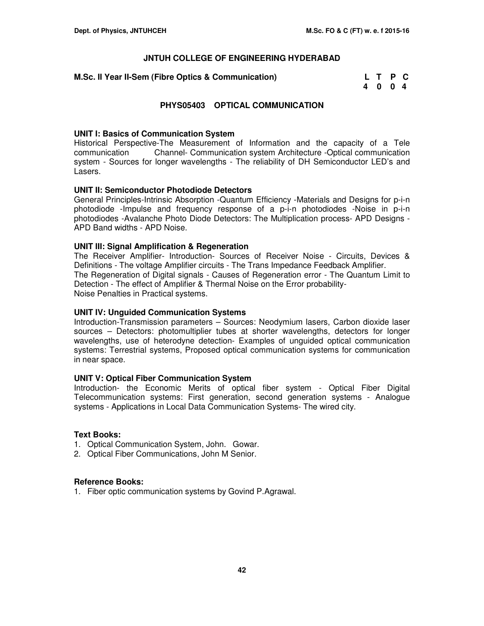| <b>A.Sc. II Year II-Sem (Fibre Optics &amp; Communication)</b> | L T P C |  |
|----------------------------------------------------------------|---------|--|
|                                                                | 4004    |  |

### **PHYS05403 OPTICAL COMMUNICATION**

### **UNIT I: Basics of Communication System**

Historical Perspective-The Measurement of Information and the capacity of a Tele communication Channel- Communication system Architecture -Optical communication system - Sources for longer wavelengths - The reliability of DH Semiconductor LED's and Lasers.

### **UNIT II: Semiconductor Photodiode Detectors**

General Principles-Intrinsic Absorption -Quantum Efficiency -Materials and Designs for p-i-n photodiode -Impulse and frequency response of a p-i-n photodiodes -Noise in p-i-n photodiodes -Avalanche Photo Diode Detectors: The Multiplication process- APD Designs - APD Band widths - APD Noise.

### **UNIT III: Signal Amplification & Regeneration**

The Receiver Amplifier- Introduction- Sources of Receiver Noise - Circuits, Devices & Definitions - The voltage Amplifier circuits - The Trans Impedance Feedback Amplifier. The Regeneration of Digital signals - Causes of Regeneration error - The Quantum Limit to Detection - The effect of Amplifier & Thermal Noise on the Error probability-Noise Penalties in Practical systems.

#### **UNIT IV: Unguided Communication Systems**

Introduction-Transmission parameters – Sources: Neodymium lasers, Carbon dioxide laser sources – Detectors: photomultiplier tubes at shorter wavelengths, detectors for longer wavelengths, use of heterodyne detection- Examples of unguided optical communication systems: Terrestrial systems, Proposed optical communication systems for communication in near space.

### **UNIT V: Optical Fiber Communication System**

Introduction- the Economic Merits of optical fiber system - Optical Fiber Digital Telecommunication systems: First generation, second generation systems - Analogue systems - Applications in Local Data Communication Systems- The wired city.

### **Text Books:**

- 1. Optical Communication System, John. Gowar.
- 2. Optical Fiber Communications, John M Senior.

### **Reference Books:**

1. Fiber optic communication systems by Govind P.Agrawal.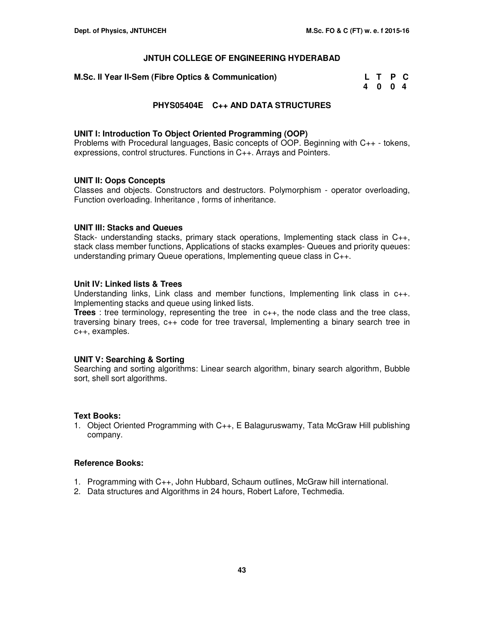| <b>M.Sc. II Year II-Sem (Fibre Optics &amp; Communication)</b> | L T P C |  |
|----------------------------------------------------------------|---------|--|
|                                                                | 4004    |  |

### **PHYS05404E C++ AND DATA STRUCTURES**

### **UNIT I: Introduction To Object Oriented Programming (OOP)**

Problems with Procedural languages, Basic concepts of OOP. Beginning with C++ - tokens, expressions, control structures. Functions in C++. Arrays and Pointers.

### **UNIT II: Oops Concepts**

Classes and objects. Constructors and destructors. Polymorphism - operator overloading, Function overloading. Inheritance , forms of inheritance.

### **UNIT III: Stacks and Queues**

Stack- understanding stacks, primary stack operations, Implementing stack class in C++, stack class member functions, Applications of stacks examples- Queues and priority queues: understanding primary Queue operations, Implementing queue class in C++.

### **Unit IV: Linked lists & Trees**

Understanding links, Link class and member functions, Implementing link class in c++. Implementing stacks and queue using linked lists.

**Trees** : tree terminology, representing the tree in c++, the node class and the tree class, traversing binary trees, c++ code for tree traversal, Implementing a binary search tree in c++, examples.

#### **UNIT V: Searching & Sorting**

Searching and sorting algorithms: Linear search algorithm, binary search algorithm, Bubble sort, shell sort algorithms.

### **Text Books:**

1. Object Oriented Programming with C++, E Balaguruswamy, Tata McGraw Hill publishing company.

- 1. Programming with C++, John Hubbard, Schaum outlines, McGraw hill international.
- 2. Data structures and Algorithms in 24 hours, Robert Lafore, Techmedia.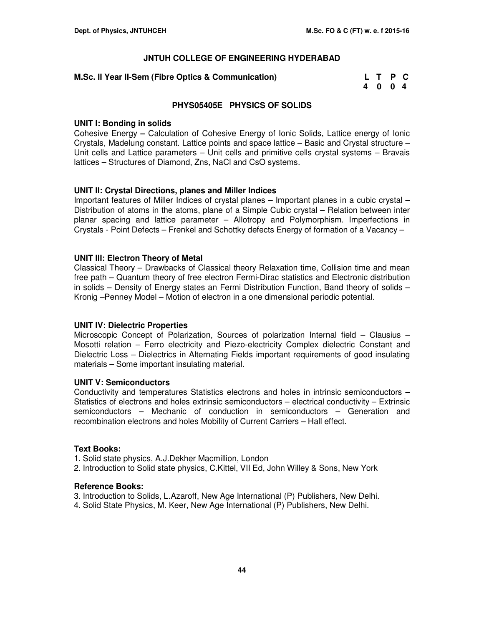### **M.Sc. II Year II-Sem (Fibre Optics & Communication)**

| <b>A.Sc. II Year II-Sem (Fibre Optics &amp; Communication)</b> | L T P C |  |
|----------------------------------------------------------------|---------|--|
|                                                                | 4004    |  |

### **PHYS05405E PHYSICS OF SOLIDS**

### **UNIT I: Bonding in solids**

Cohesive Energy **–** Calculation of Cohesive Energy of Ionic Solids, Lattice energy of Ionic Crystals, Madelung constant. Lattice points and space lattice – Basic and Crystal structure – Unit cells and Lattice parameters – Unit cells and primitive cells crystal systems – Bravais lattices – Structures of Diamond, Zns, NaCl and CsO systems.

### **UNIT II: Crystal Directions, planes and Miller Indices**

Important features of Miller Indices of crystal planes – Important planes in a cubic crystal – Distribution of atoms in the atoms, plane of a Simple Cubic crystal – Relation between inter planar spacing and lattice parameter – Allotropy and Polymorphism. Imperfections in Crystals - Point Defects – Frenkel and Schottky defects Energy of formation of a Vacancy –

### **UNIT III: Electron Theory of Metal**

Classical Theory – Drawbacks of Classical theory Relaxation time, Collision time and mean free path – Quantum theory of free electron Fermi-Dirac statistics and Electronic distribution in solids – Density of Energy states an Fermi Distribution Function, Band theory of solids – Kronig –Penney Model – Motion of electron in a one dimensional periodic potential.

#### **UNIT IV: Dielectric Properties**

Microscopic Concept of Polarization, Sources of polarization Internal field – Clausius – Mosotti relation – Ferro electricity and Piezo-electricity Complex dielectric Constant and Dielectric Loss – Dielectrics in Alternating Fields important requirements of good insulating materials – Some important insulating material.

#### **UNIT V: Semiconductors**

Conductivity and temperatures Statistics electrons and holes in intrinsic semiconductors – Statistics of electrons and holes extrinsic semiconductors – electrical conductivity – Extrinsic semiconductors – Mechanic of conduction in semiconductors – Generation and recombination electrons and holes Mobility of Current Carriers – Hall effect.

#### **Text Books:**

1. Solid state physics, A.J.Dekher Macmillion, London

2. Introduction to Solid state physics, C.Kittel, VII Ed, John Willey & Sons, New York

#### **Reference Books:**

3. Introduction to Solids, L.Azaroff, New Age International (P) Publishers, New Delhi.

4. Solid State Physics, M. Keer, New Age International (P) Publishers, New Delhi.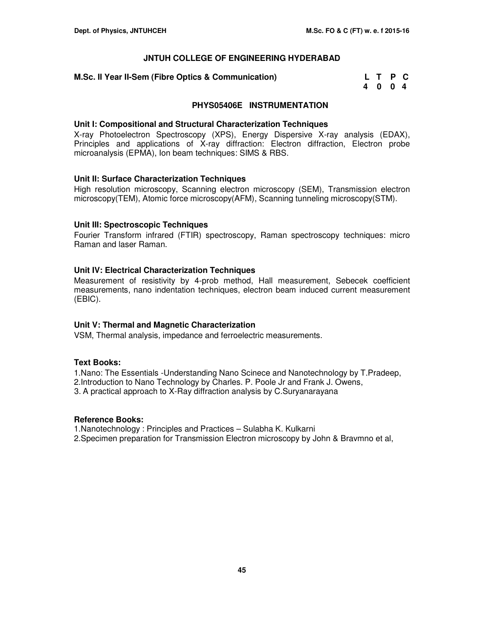### **M.Sc. II Year II-Sem (Fibre Optics & Communication)**

| <b>M.Sc. II Year II-Sem (Fibre Optics &amp; Communication)</b> | L T P C |  |
|----------------------------------------------------------------|---------|--|
|                                                                | 4004    |  |

### **PHYS05406E INSTRUMENTATION**

### **Unit I: Compositional and Structural Characterization Techniques**

X-ray Photoelectron Spectroscopy (XPS), Energy Dispersive X-ray analysis (EDAX), Principles and applications of X-ray diffraction: Electron diffraction, Electron probe microanalysis (EPMA), Ion beam techniques: SIMS & RBS.

### **Unit II: Surface Characterization Techniques**

High resolution microscopy, Scanning electron microscopy (SEM), Transmission electron microscopy(TEM), Atomic force microscopy(AFM), Scanning tunneling microscopy(STM).

### **Unit III: Spectroscopic Techniques**

Fourier Transform infrared (FTIR) spectroscopy, Raman spectroscopy techniques: micro Raman and laser Raman.

### **Unit IV: Electrical Characterization Techniques**

Measurement of resistivity by 4-prob method, Hall measurement, Sebecek coefficient measurements, nano indentation techniques, electron beam induced current measurement (EBIC).

### **Unit V: Thermal and Magnetic Characterization**

VSM, Thermal analysis, impedance and ferroelectric measurements.

### **Text Books:**

1.Nano: The Essentials -Understanding Nano Scinece and Nanotechnology by T.Pradeep, 2.Introduction to Nano Technology by Charles. P. Poole Jr and Frank J. Owens,

3. A practical approach to X-Ray diffraction analysis by C.Suryanarayana

### **Reference Books:**

1.Nanotechnology : Principles and Practices – Sulabha K. Kulkarni 2.Specimen preparation for Transmission Electron microscopy by John & Bravmno et al,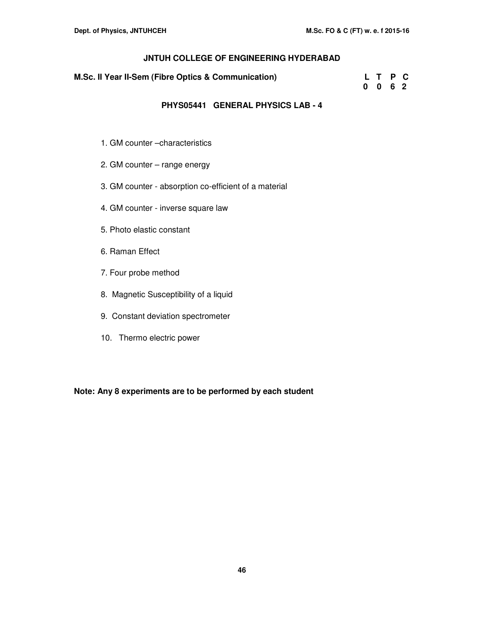| M.Sc. II Year II-Sem (Fibre Optics & Communication) | L T P C |      |  |
|-----------------------------------------------------|---------|------|--|
|                                                     |         | 0062 |  |
|                                                     |         |      |  |

### **PHYS05441 GENERAL PHYSICS LAB - 4**

- 1. GM counter –characteristics
- 2. GM counter range energy
- 3. GM counter absorption co-efficient of a material
- 4. GM counter inverse square law
- 5. Photo elastic constant
- 6. Raman Effect
- 7. Four probe method
- 8. Magnetic Susceptibility of a liquid
- 9. Constant deviation spectrometer
- 10. Thermo electric power

**Note: Any 8 experiments are to be performed by each student**